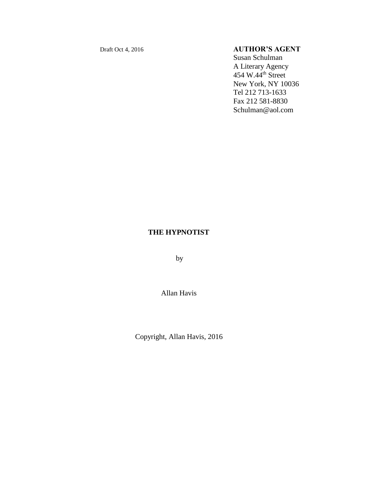# Draft Oct 4, 2016 **AUTHOR'S AGENT**

Susan Schulman A Literary Agency  $454$  W. $44<sup>th</sup>$  Street New York, NY 10036 Tel 212 713-1633 Fax 212 581-8830 Schulman@aol.com

# **THE HYPNOTIST**

by

Allan Havis

Copyright, Allan Havis, 2016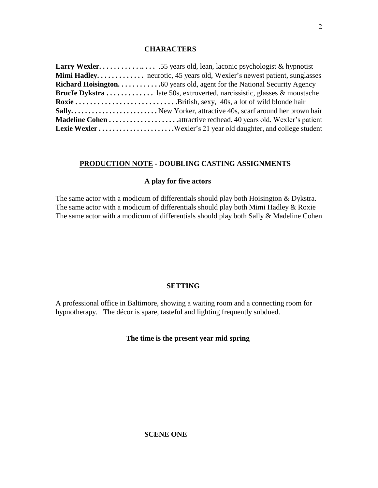# **CHARACTERS**

| <b>Mimi Hadley</b> neurotic, 45 years old, Wexler's newest patient, sunglasses |
|--------------------------------------------------------------------------------|
| <b>Richard Hoisington</b> 60 years old, agent for the National Security Agency |
| <b>Brucle Dykstra</b> late 50s, extroverted, narcissistic, glasses & moustache |
|                                                                                |
| Sally New Yorker, attractive 40s, scarf around her brown hair                  |
| <b>Madeline Cohen </b> attractive redhead, 40 years old, Wexler's patient      |
|                                                                                |

# **PRODUCTION NOTE - DOUBLING CASTING ASSIGNMENTS**

# **A play for five actors**

The same actor with a modicum of differentials should play both Hoisington & Dykstra. The same actor with a modicum of differentials should play both Mimi Hadley & Roxie The same actor with a modicum of differentials should play both Sally & Madeline Cohen

# **SETTING**

A professional office in Baltimore, showing a waiting room and a connecting room for hypnotherapy. The décor is spare, tasteful and lighting frequently subdued.

# **The time is the present year mid spring**

### **SCENE ONE**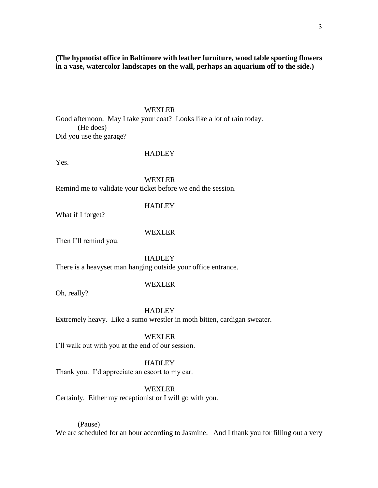**(The hypnotist office in Baltimore with leather furniture, wood table sporting flowers in a vase, watercolor landscapes on the wall, perhaps an aquarium off to the side.)**

# WEXLER

Good afternoon. May I take your coat? Looks like a lot of rain today. (He does) Did you use the garage?

# **HADLEY**

Yes.

#### WEXLER

Remind me to validate your ticket before we end the session.

#### **HADLEY**

What if I forget?

### WEXLER

Then I'll remind you.

### **HADLEY**

There is a heavyset man hanging outside your office entrance.

# WEXLER

Oh, really?

#### HADLEY

Extremely heavy. Like a sumo wrestler in moth bitten, cardigan sweater.

# WEXLER

I'll walk out with you at the end of our session.

#### **HADLEY**

Thank you. I'd appreciate an escort to my car.

### WEXLER

Certainly. Either my receptionist or I will go with you.

# (Pause)

We are scheduled for an hour according to Jasmine. And I thank you for filling out a very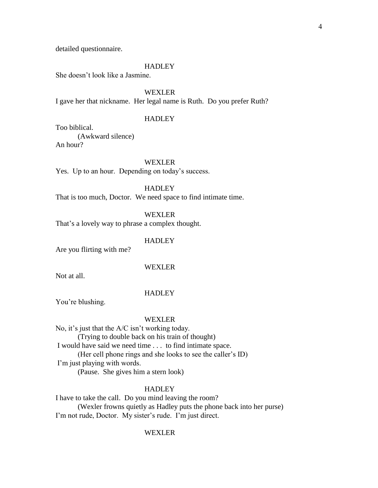#### **HADLEY**

She doesn't look like a Jasmine.

WEXLER

I gave her that nickname. Her legal name is Ruth. Do you prefer Ruth?

### **HADLEY**

Too biblical.

(Awkward silence)

An hour?

WEXLER

Yes. Up to an hour. Depending on today's success.

**HADLEY** 

That is too much, Doctor. We need space to find intimate time.

**WEXLER** 

That's a lovely way to phrase a complex thought.

# **HADLEY**

Are you flirting with me?

#### WEXLER

Not at all.

#### **HADLEY**

You're blushing.

### WEXLER

No, it's just that the A/C isn't working today. (Trying to double back on his train of thought) I would have said we need time . . . to find intimate space. (Her cell phone rings and she looks to see the caller's ID) I'm just playing with words. (Pause. She gives him a stern look)

#### **HADLEY**

I have to take the call. Do you mind leaving the room? (Wexler frowns quietly as Hadley puts the phone back into her purse) I'm not rude, Doctor. My sister's rude. I'm just direct.

#### WEXLER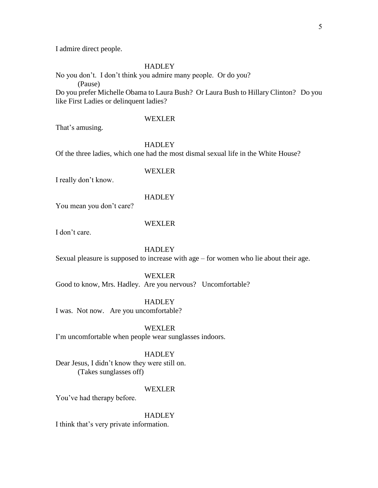I admire direct people.

# **HADLEY**

No you don't. I don't think you admire many people. Or do you? (Pause) Do you prefer Michelle Obama to Laura Bush? Or Laura Bush to Hillary Clinton? Do you like First Ladies or delinquent ladies?

#### WEXLER

That's amusing.

HADLEY

Of the three ladies, which one had the most dismal sexual life in the White House?

# WEXLER

I really don't know.

# **HADLEY**

You mean you don't care?

### WEXLER

I don't care.

# HADLEY

Sexual pleasure is supposed to increase with age – for women who lie about their age.

# WEXLER

Good to know, Mrs. Hadley. Are you nervous? Uncomfortable?

**HADLEY** 

I was. Not now. Are you uncomfortable?

WEXLER

I'm uncomfortable when people wear sunglasses indoors.

# **HADLEY**

Dear Jesus, I didn't know they were still on. (Takes sunglasses off)

#### WEXLER

You've had therapy before.

HADLEY

I think that's very private information.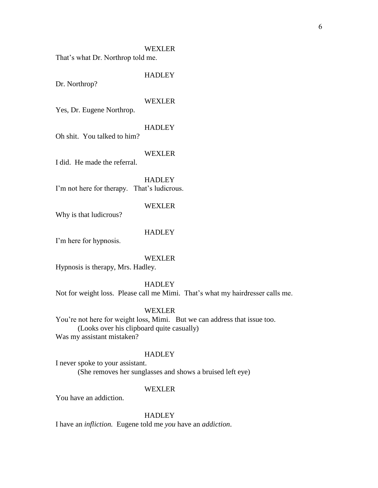WEXLER That's what Dr. Northrop told me.

**HADLEY** 

Dr. Northrop?

#### WEXLER

Yes, Dr. Eugene Northrop.

# **HADLEY**

Oh shit. You talked to him?

# WEXLER

I did. He made the referral.

**HADLEY** I'm not here for therapy. That's ludicrous.

#### WEXLER

Why is that ludicrous?

# **HADLEY**

I'm here for hypnosis.

# WEXLER

Hypnosis is therapy, Mrs. Hadley.

#### **HADLEY**

Not for weight loss. Please call me Mimi. That's what my hairdresser calls me.

### WEXLER

You're not here for weight loss, Mimi. But we can address that issue too. (Looks over his clipboard quite casually) Was my assistant mistaken?

# **HADLEY**

I never spoke to your assistant. (She removes her sunglasses and shows a bruised left eye)

#### WEXLER

You have an addiction.

### **HADLEY**

I have an *infliction.* Eugene told me *you* have an *addiction*.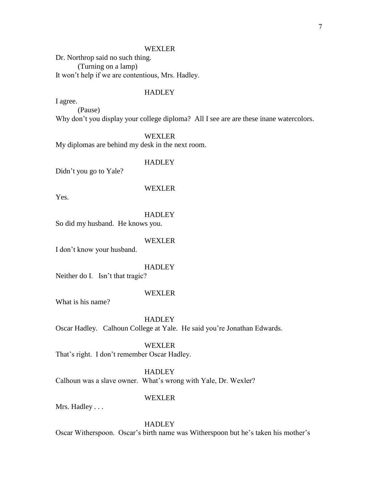Dr. Northrop said no such thing. (Turning on a lamp) It won't help if we are contentious, Mrs. Hadley.

# **HADLEY**

I agree. (Pause) Why don't you display your college diploma? All I see are are these inane watercolors.

### WEXLER

My diplomas are behind my desk in the next room.

# **HADLEY**

Didn't you go to Yale?

#### WEXLER

Yes.

#### **HADLEY**

So did my husband. He knows you.

# WEXLER

I don't know your husband.

#### **HADLEY**

Neither do I. Isn't that tragic?

### WEXLER

What is his name?

### **HADLEY**

Oscar Hadley. Calhoun College at Yale. He said you're Jonathan Edwards.

# WEXLER

That's right. I don't remember Oscar Hadley.

#### **HADLEY**

Calhoun was a slave owner. What's wrong with Yale, Dr. Wexler?

# WEXLER

Mrs. Hadley . . .

# **HADLEY**

Oscar Witherspoon. Oscar's birth name was Witherspoon but he's taken his mother's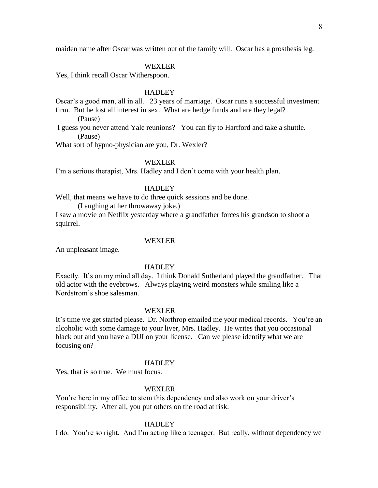maiden name after Oscar was written out of the family will. Oscar has a prosthesis leg.

#### WEXLER

Yes, I think recall Oscar Witherspoon.

#### **HADLEY**

Oscar's a good man, all in all. 23 years of marriage. Oscar runs a successful investment firm. But he lost all interest in sex. What are hedge funds and are they legal?

(Pause)

I guess you never attend Yale reunions? You can fly to Hartford and take a shuttle. (Pause)

What sort of hypno-physician are you, Dr. Wexler?

# WEXLER

I'm a serious therapist, Mrs. Hadley and I don't come with your health plan.

### HADLEY

Well, that means we have to do three quick sessions and be done.

(Laughing at her throwaway joke.)

I saw a movie on Netflix yesterday where a grandfather forces his grandson to shoot a squirrel.

### WEXLER

An unpleasant image.

#### HADLEY

Exactly. It's on my mind all day. I think Donald Sutherland played the grandfather. That old actor with the eyebrows. Always playing weird monsters while smiling like a Nordstrom's shoe salesman.

#### WEXLER

It's time we get started please. Dr. Northrop emailed me your medical records. You're an alcoholic with some damage to your liver, Mrs. Hadley. He writes that you occasional black out and you have a DUI on your license. Can we please identify what we are focusing on?

#### HADLEY

Yes, that is so true. We must focus.

#### WEXLER

You're here in my office to stem this dependency and also work on your driver's responsibility. After all, you put others on the road at risk.

#### **HADLEY**

I do. You're so right. And I'm acting like a teenager. But really, without dependency we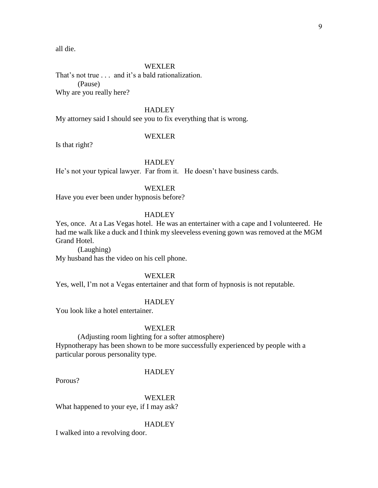all die.

#### WEXLER

That's not true . . . and it's a bald rationalization. (Pause) Why are you really here?

# **HADLEY**

My attorney said I should see you to fix everything that is wrong.

### WEXLER

Is that right?

# **HADLEY**

He's not your typical lawyer. Far from it. He doesn't have business cards.

#### WEXLER

Have you ever been under hypnosis before?

# HADLEY

Yes, once. At a Las Vegas hotel. He was an entertainer with a cape and I volunteered. He had me walk like a duck and I think my sleeveless evening gown was removed at the MGM Grand Hotel.

(Laughing) My husband has the video on his cell phone.

#### WEXLER

Yes, well, I'm not a Vegas entertainer and that form of hypnosis is not reputable.

# **HADLEY**

You look like a hotel entertainer.

#### WEXLER

(Adjusting room lighting for a softer atmosphere) Hypnotherapy has been shown to be more successfully experienced by people with a particular porous personality type.

#### **HADLEY**

Porous?

WEXLER

What happened to your eye, if I may ask?

#### **HADLEY**

I walked into a revolving door.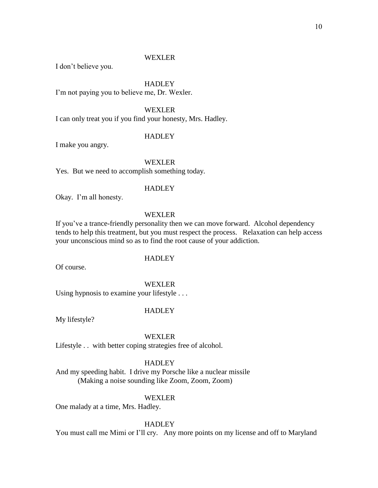I don't believe you.

#### **HADLEY**

I'm not paying you to believe me, Dr. Wexler.

# WEXLER

I can only treat you if you find your honesty, Mrs. Hadley.

# **HADLEY**

I make you angry.

# WEXLER

Yes. But we need to accomplish something today.

### **HADLEY**

Okay. I'm all honesty.

# WEXLER

If you've a trance-friendly personality then we can move forward. Alcohol dependency tends to help this treatment, but you must respect the process. Relaxation can help access your unconscious mind so as to find the root cause of your addiction.

# **HADLEY**

Of course.

### WEXLER

Using hypnosis to examine your lifestyle . . .

# HADLEY

My lifestyle?

# WEXLER

Lifestyle . . with better coping strategies free of alcohol.

# **HADLEY**

And my speeding habit. I drive my Porsche like a nuclear missile (Making a noise sounding like Zoom, Zoom, Zoom)

# WEXLER

One malady at a time, Mrs. Hadley.

### **HADLEY**

You must call me Mimi or I'll cry. Any more points on my license and off to Maryland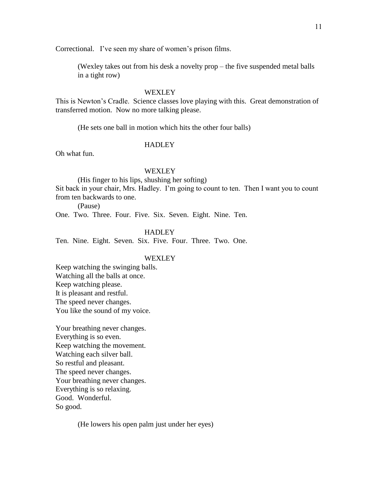Correctional. I've seen my share of women's prison films.

(Wexley takes out from his desk a novelty prop – the five suspended metal balls in a tight row)

#### WEXLEY

This is Newton's Cradle. Science classes love playing with this. Great demonstration of transferred motion. Now no more talking please.

(He sets one ball in motion which hits the other four balls)

#### HADLEY

Oh what fun.

#### WEXLEY<sub></sub>

(His finger to his lips, shushing her softing)

Sit back in your chair, Mrs. Hadley. I'm going to count to ten. Then I want you to count from ten backwards to one.

(Pause)

One. Two. Three. Four. Five. Six. Seven. Eight. Nine. Ten.

**HADLEY** 

Ten. Nine. Eight. Seven. Six. Five. Four. Three. Two. One.

# WEXLEY

Keep watching the swinging balls. Watching all the balls at once. Keep watching please. It is pleasant and restful. The speed never changes. You like the sound of my voice.

Your breathing never changes. Everything is so even. Keep watching the movement. Watching each silver ball. So restful and pleasant. The speed never changes. Your breathing never changes. Everything is so relaxing. Good. Wonderful. So good.

(He lowers his open palm just under her eyes)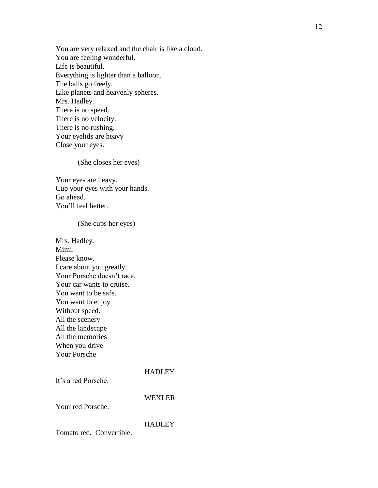You are very relaxed and the chair is like a cloud. You are feeling wonderful. Life is beautiful. Everything is lighter than a balloon. The balls go freely. Like planets and heavenly spheres. Mrs. Hadley. There is no speed. There is no velocity. There is no rushing. Your eyelids are heavy Close your eyes.

(She closes her eyes)

Your eyes are heavy. Cup your eyes with your hands. Go ahead. You'll feel better.

(She cups her eyes)

Mrs. Hadley. Mimi. Please know. I care about you greatly. Your Porsche doesn't race. Your car wants to cruise. You want to be safe. You want to enjoy Without speed. All the scenery All the landscape All the memories When you drive Your Porsche

It's a red Porsche.

WEXLER

Your red Porsche.

**HADLEY** 

Tomato red. Convertible.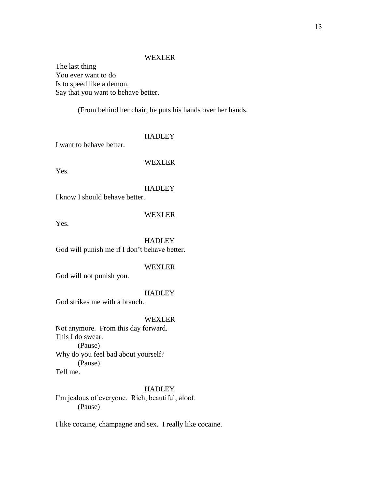The last thing You ever want to do Is to speed like a demon. Say that you want to behave better.

(From behind her chair, he puts his hands over her hands.

# **HADLEY**

I want to behave better.

# WEXLER

Yes.

# **HADLEY**

I know I should behave better.

# WEXLER

Yes.

# **HADLEY** God will punish me if I don't behave better.

# WEXLER

God will not punish you.

# **HADLEY**

God strikes me with a branch.

# WEXLER

Not anymore. From this day forward. This I do swear. (Pause) Why do you feel bad about yourself? (Pause) Tell me.

# **HADLEY**

I'm jealous of everyone. Rich, beautiful, aloof. (Pause)

I like cocaine, champagne and sex. I really like cocaine.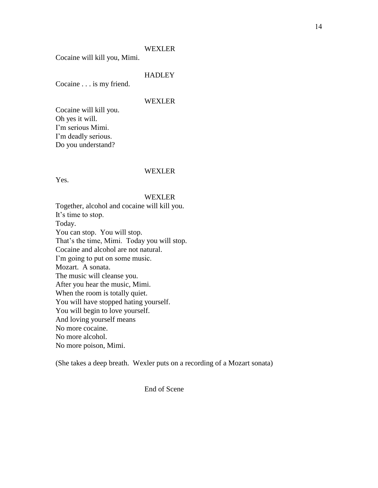Cocaine will kill you, Mimi.

**HADLEY** 

Cocaine . . . is my friend.

#### WEXLER

Cocaine will kill you. Oh yes it will. I'm serious Mimi. I'm deadly serious. Do you understand?

### WEXLER

Yes.

### WEXLER

Together, alcohol and cocaine will kill you. It's time to stop. Today. You can stop. You will stop. That's the time, Mimi. Today you will stop. Cocaine and alcohol are not natural. I'm going to put on some music. Mozart. A sonata. The music will cleanse you. After you hear the music, Mimi. When the room is totally quiet. You will have stopped hating yourself. You will begin to love yourself. And loving yourself means No more cocaine. No more alcohol. No more poison, Mimi.

(She takes a deep breath. Wexler puts on a recording of a Mozart sonata)

End of Scene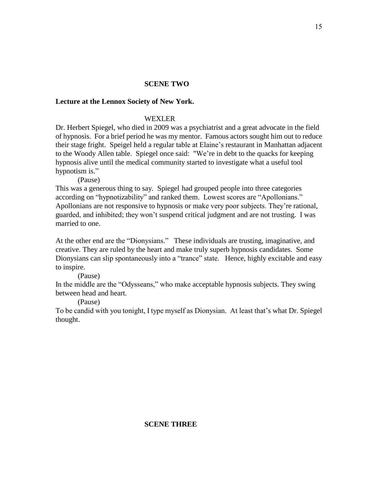# **SCENE TWO**

# **Lecture at the Lennox Society of New York.**

# WEXLER

Dr. Herbert Spiegel, who died in 2009 was a psychiatrist and a great advocate in the field of hypnosis. For a brief period he was my mentor. Famous actors sought him out to reduce their stage fright. Speigel held a regular table at Elaine's restaurant in Manhattan adjacent to the Woody Allen table. Spiegel once said: "We're in debt to the quacks for keeping hypnosis alive until the medical community started to investigate what a useful tool hypnotism is."

(Pause)

This was a generous thing to say. Spiegel had grouped people into three categories according on "hypnotizability" and ranked them. Lowest scores are "Apollonians." Apollonians are not responsive to hypnosis or make very poor subjects. They're rational, guarded, and inhibited; they won't suspend critical judgment and are not trusting. I was married to one.

At the other end are the "Dionysians." These individuals are trusting, imaginative, and creative. They are ruled by the heart and make truly superb hypnosis candidates. Some Dionysians can slip spontaneously into a "trance" state. Hence, highly excitable and easy to inspire.

(Pause)

In the middle are the "Odysseans," who make acceptable hypnosis subjects. They swing between head and heart.

(Pause)

To be candid with you tonight, I type myself as Dionysian. At least that's what Dr. Spiegel thought.

# **SCENE THREE**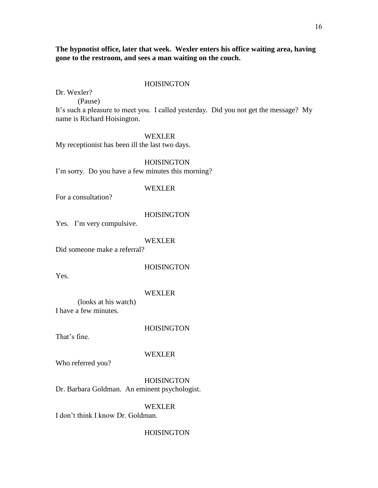**The hypnotist office, later that week. Wexler enters his office waiting area, having gone to the restroom, and sees a man waiting on the couch.**

#### HOISINGTON

Dr. Wexler?

(Pause)

It's such a pleasure to meet you. I called yesterday. Did you not get the message? My name is Richard Hoisington.

# WEXLER

My receptionist has been ill the last two days.

HOISINGTON I'm sorry. Do you have a few minutes this morning?

#### WEXLER

For a consultation?

### **HOISINGTON**

Yes. I'm very compulsive.

# WEXLER

Did someone make a referral?

# HOISINGTON

Yes.

# WEXLER

(looks at his watch) I have a few minutes.

# **HOISINGTON**

That's fine.

# WEXLER

Who referred you?

**HOISINGTON** Dr. Barbara Goldman. An eminent psychologist.

# WEXLER

I don't think I know Dr. Goldman.

# **HOISINGTON**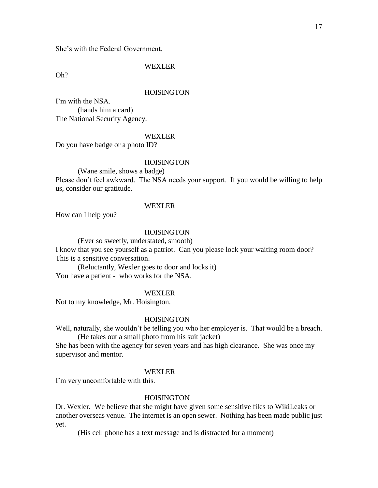Oh?

#### **HOISINGTON**

I'm with the NSA. (hands him a card) The National Security Agency.

# WEXLER

Do you have badge or a photo ID?

# **HOISINGTON**

(Wane smile, shows a badge)

Please don't feel awkward. The NSA needs your support. If you would be willing to help us, consider our gratitude.

### WEXLER

How can I help you?

# **HOISINGTON**

(Ever so sweetly, understated, smooth)

I know that you see yourself as a patriot. Can you please lock your waiting room door? This is a sensitive conversation.

(Reluctantly, Wexler goes to door and locks it) You have a patient - who works for the NSA.

# WEXLER

Not to my knowledge, Mr. Hoisington.

### **HOISINGTON**

Well, naturally, she wouldn't be telling you who her employer is. That would be a breach. (He takes out a small photo from his suit jacket)

She has been with the agency for seven years and has high clearance. She was once my supervisor and mentor.

### WEXLER

I'm very uncomfortable with this.

# **HOISINGTON**

Dr. Wexler. We believe that she might have given some sensitive files to WikiLeaks or another overseas venue. The internet is an open sewer. Nothing has been made public just yet.

(His cell phone has a text message and is distracted for a moment)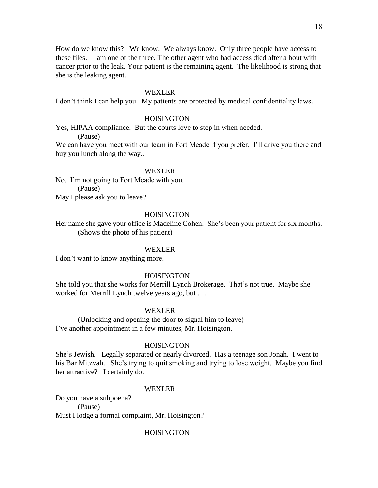How do we know this? We know. We always know. Only three people have access to these files. I am one of the three. The other agent who had access died after a bout with cancer prior to the leak. Your patient is the remaining agent. The likelihood is strong that she is the leaking agent.

#### WEXLER

I don't think I can help you. My patients are protected by medical confidentiality laws.

# **HOISINGTON**

Yes, HIPAA compliance. But the courts love to step in when needed.

(Pause)

We can have you meet with our team in Fort Meade if you prefer. I'll drive you there and buy you lunch along the way..

### WEXLER

No. I'm not going to Fort Meade with you. (Pause) May I please ask you to leave?

#### **HOISINGTON**

Her name she gave your office is Madeline Cohen. She's been your patient for six months. (Shows the photo of his patient)

#### WEXLER

I don't want to know anything more.

#### **HOISINGTON**

She told you that she works for Merrill Lynch Brokerage. That's not true. Maybe she worked for Merrill Lynch twelve years ago, but . . .

#### WEXLER

(Unlocking and opening the door to signal him to leave) I've another appointment in a few minutes, Mr. Hoisington.

# **HOISINGTON**

She's Jewish. Legally separated or nearly divorced. Has a teenage son Jonah. I went to his Bar Mitzvah. She's trying to quit smoking and trying to lose weight. Maybe you find her attractive? I certainly do.

#### WEXLER

Do you have a subpoena? (Pause) Must I lodge a formal complaint, Mr. Hoisington?

#### HOISINGTON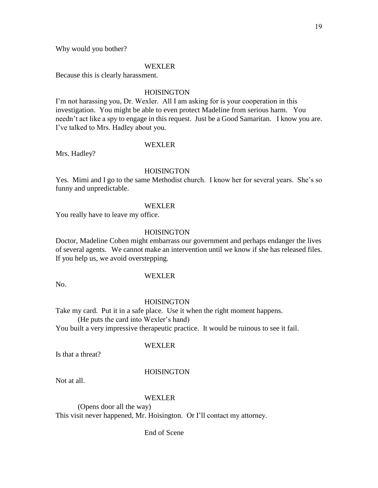Why would you bother?

#### WEXLER

Because this is clearly harassment.

### **HOISINGTON**

I'm not harassing you, Dr. Wexler. All I am asking for is your cooperation in this investigation. You might be able to even protect Madeline from serious harm. You needn't act like a spy to engage in this request. Just be a Good Samaritan. I know you are. I've talked to Mrs. Hadley about you.

#### WEXLER

Mrs. Hadley?

### **HOISINGTON**

Yes. Mimi and I go to the same Methodist church. I know her for several years. She's so funny and unpredictable.

#### WEXLER

You really have to leave my office.

# **HOISINGTON**

Doctor, Madeline Cohen might embarrass our government and perhaps endanger the lives of several agents. We cannot make an intervention until we know if she has released files. If you help us, we avoid overstepping.

# WEXLER

No.

#### HOISINGTON

Take my card. Put it in a safe place. Use it when the right moment happens. (He puts the card into Wexler's hand)

You built a very impressive therapeutic practice. It would be ruinous to see it fail.

### WEXLER

Is that a threat?

#### HOISINGTON

Not at all.

#### WEXLER

(Opens door all the way) This visit never happened, Mr. Hoisington. Or I'll contact my attorney.

End of Scene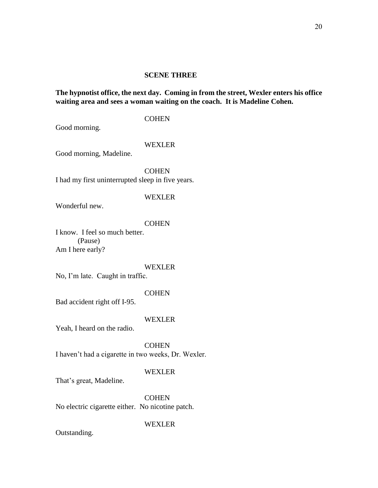# **SCENE THREE**

# **The hypnotist office, the next day. Coming in from the street, Wexler enters his office waiting area and sees a woman waiting on the coach. It is Madeline Cohen.**

# **COHEN**

Good morning.

#### WEXLER

Good morning, Madeline.

**COHEN** I had my first uninterrupted sleep in five years.

# WEXLER

Wonderful new.

### **COHEN**

I know. I feel so much better. (Pause) Am I here early?

#### WEXLER

No, I'm late. Caught in traffic.

### **COHEN**

Bad accident right off I-95.

# WEXLER

Yeah, I heard on the radio.

**COHEN** I haven't had a cigarette in two weeks, Dr. Wexler.

### WEXLER

That's great, Madeline.

**COHEN** No electric cigarette either. No nicotine patch.

# WEXLER

Outstanding.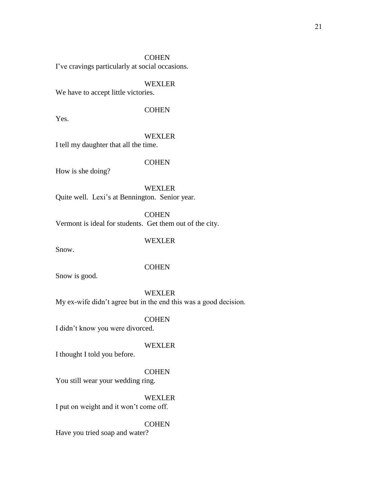I've cravings particularly at social occasions.

#### WEXLER

We have to accept little victories.

# **COHEN**

Yes.

# WEXLER

I tell my daughter that all the time.

# **COHEN**

How is she doing?

WEXLER Quite well. Lexi's at Bennington. Senior year.

**COHEN** Vermont is ideal for students. Get them out of the city.

# WEXLER

Snow.

#### **COHEN**

Snow is good.

### WEXLER

My ex-wife didn't agree but in the end this was a good decision.

### **COHEN**

I didn't know you were divorced.

#### WEXLER

I thought I told you before.

#### **COHEN**

You still wear your wedding ring.

# WEXLER

I put on weight and it won't come off.

# **COHEN**

Have you tried soap and water?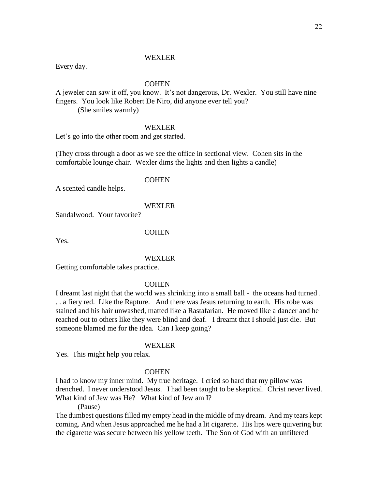Every day.

### **COHEN**

A jeweler can saw it off, you know. It's not dangerous, Dr. Wexler. You still have nine fingers. You look like Robert De Niro, did anyone ever tell you?

(She smiles warmly)

#### WEXLER

Let's go into the other room and get started.

(They cross through a door as we see the office in sectional view. Cohen sits in the comfortable lounge chair. Wexler dims the lights and then lights a candle)

#### **COHEN**

A scented candle helps.

#### WEXLER

Sandalwood. Your favorite?

# **COHEN**

Yes.

#### WEXLER

Getting comfortable takes practice.

### **COHEN**

I dreamt last night that the world was shrinking into a small ball - the oceans had turned . . . a fiery red. Like the Rapture. And there was Jesus returning to earth. His robe was stained and his hair unwashed, matted like a Rastafarian. He moved like a dancer and he reached out to others like they were blind and deaf. I dreamt that I should just die. But someone blamed me for the idea. Can I keep going?

# WEXLER

Yes. This might help you relax.

### **COHEN**

I had to know my inner mind. My true heritage. I cried so hard that my pillow was drenched. I never understood Jesus. I had been taught to be skeptical. Christ never lived. What kind of Jew was He? What kind of Jew am I?

(Pause)

The dumbest questions filled my empty head in the middle of my dream. And my tears kept coming. And when Jesus approached me he had a lit cigarette. His lips were quivering but the cigarette was secure between his yellow teeth. The Son of God with an unfiltered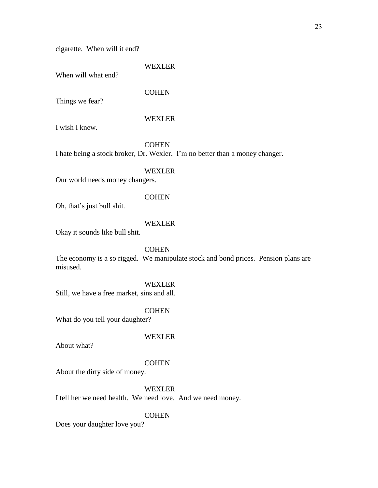cigarette. When will it end?

### WEXLER

When will what end?

# **COHEN**

Things we fear?

# WEXLER

I wish I knew.

# **COHEN**

I hate being a stock broker, Dr. Wexler. I'm no better than a money changer.

# WEXLER

Our world needs money changers.

# **COHEN**

Oh, that's just bull shit.

# WEXLER

Okay it sounds like bull shit.

# **COHEN**

The economy is a so rigged. We manipulate stock and bond prices. Pension plans are misused.

# WEXLER

Still, we have a free market, sins and all.

#### **COHEN**

What do you tell your daughter?

#### WEXLER

About what?

### **COHEN**

About the dirty side of money.

#### WEXLER

I tell her we need health. We need love. And we need money.

#### **COHEN**

Does your daughter love you?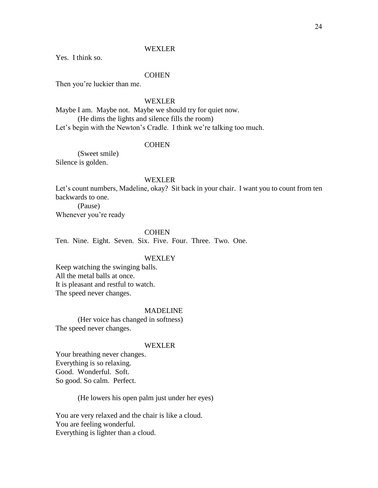Yes. I think so.

### **COHEN**

Then you're luckier than me.

#### WEXLER

Maybe I am. Maybe not. Maybe we should try for quiet now. (He dims the lights and silence fills the room) Let's begin with the Newton's Cradle. I think we're talking too much.

#### **COHEN**

(Sweet smile) Silence is golden.

#### WEXLER

Let's count numbers, Madeline, okay? Sit back in your chair. I want you to count from ten backwards to one.

(Pause) Whenever you're ready

#### **COHEN**

Ten. Nine. Eight. Seven. Six. Five. Four. Three. Two. One.

# WEXLEY

Keep watching the swinging balls. All the metal balls at once. It is pleasant and restful to watch. The speed never changes.

### MADELINE

(Her voice has changed in softness) The speed never changes.

#### WEXLER

Your breathing never changes. Everything is so relaxing. Good. Wonderful. Soft. So good. So calm. Perfect.

(He lowers his open palm just under her eyes)

You are very relaxed and the chair is like a cloud. You are feeling wonderful. Everything is lighter than a cloud.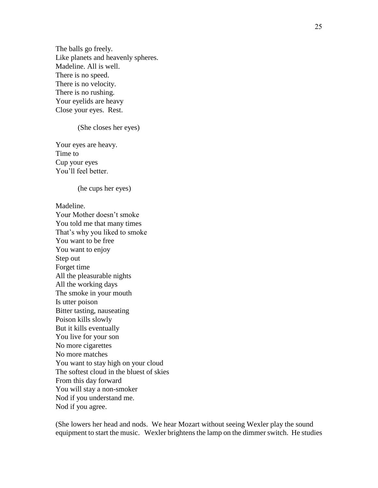The balls go freely. Like planets and heavenly spheres. Madeline. All is well. There is no speed. There is no velocity. There is no rushing. Your eyelids are heavy Close your eyes. Rest.

(She closes her eyes)

Your eyes are heavy. Time to Cup your eyes You'll feel better.

(he cups her eyes)

Madeline.

Your Mother doesn't smoke You told me that many times That's why you liked to smoke You want to be free You want to enjoy Step out Forget time All the pleasurable nights All the working days The smoke in your mouth Is utter poison Bitter tasting, nauseating Poison kills slowly But it kills eventually You live for your son No more cigarettes No more matches You want to stay high on your cloud The softest cloud in the bluest of skies From this day forward You will stay a non-smoker Nod if you understand me. Nod if you agree.

(She lowers her head and nods. We hear Mozart without seeing Wexler play the sound equipment to start the music. Wexler brightens the lamp on the dimmer switch. He studies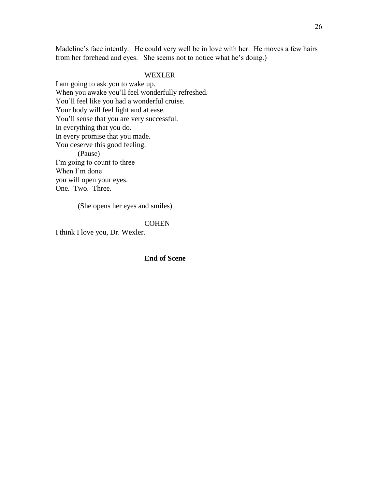Madeline's face intently. He could very well be in love with her. He moves a few hairs from her forehead and eyes. She seems not to notice what he's doing.)

# WEXLER

I am going to ask you to wake up. When you awake you'll feel wonderfully refreshed. You'll feel like you had a wonderful cruise. Your body will feel light and at ease. You'll sense that you are very successful. In everything that you do. In every promise that you made. You deserve this good feeling. (Pause) I'm going to count to three When I'm done you will open your eyes. One. Two. Three.

(She opens her eyes and smiles)

# **COHEN**

I think I love you, Dr. Wexler.

**End of Scene**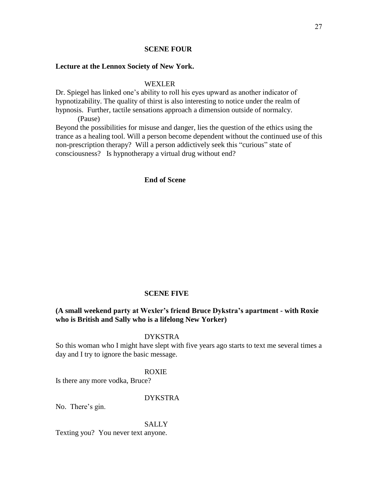# **SCENE FOUR**

# **Lecture at the Lennox Society of New York.**

WEXLER

Dr. Spiegel has linked one's ability to roll his eyes upward as another indicator of hypnotizability. The quality of thirst is also interesting to notice under the realm of hypnosis. Further, tactile sensations approach a dimension outside of normalcy.

(Pause)

Beyond the possibilities for misuse and danger, lies the question of the ethics using the trance as a healing tool. Will a person become dependent without the continued use of this non-prescription therapy? Will a person addictively seek this "curious" state of consciousness? Is hypnotherapy a virtual drug without end?

# **End of Scene**

#### **SCENE FIVE**

# **(A small weekend party at Wexler's friend Bruce Dykstra's apartment - with Roxie who is British and Sally who is a lifelong New Yorker)**

# DYKSTRA

So this woman who I might have slept with five years ago starts to text me several times a day and I try to ignore the basic message.

#### ROXIE

Is there any more vodka, Bruce?

# DYKSTRA

No. There's gin.

### **SALLY**

Texting you? You never text anyone.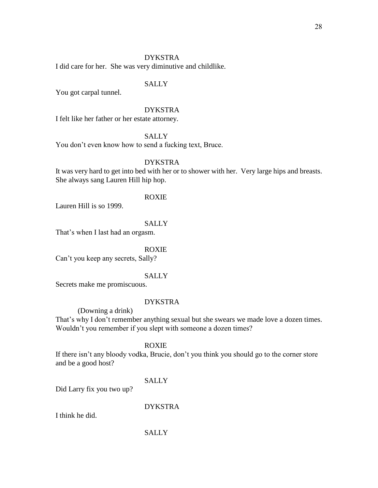# DYKSTRA

I did care for her. She was very diminutive and childlike.

# SALLY

You got carpal tunnel.

# DYKSTRA

I felt like her father or her estate attorney.

**SALLY** 

You don't even know how to send a fucking text, Bruce.

# DYKSTRA

It was very hard to get into bed with her or to shower with her. Very large hips and breasts. She always sang Lauren Hill hip hop.

ROXIE

Lauren Hill is so 1999.

# **SALLY**

That's when I last had an orgasm.

#### ROXIE

Can't you keep any secrets, Sally?

# **SALLY**

Secrets make me promiscuous.

# DYKSTRA

(Downing a drink)

That's why I don't remember anything sexual but she swears we made love a dozen times. Wouldn't you remember if you slept with someone a dozen times?

# ROXIE

If there isn't any bloody vodka, Brucie, don't you think you should go to the corner store and be a good host?

# **SALLY**

Did Larry fix you two up?

DYKSTRA

I think he did.

# **SALLY**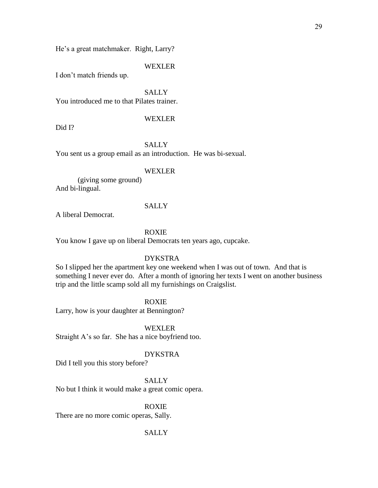He's a great matchmaker. Right, Larry?

#### WEXLER

I don't match friends up.

**SALLY** 

You introduced me to that Pilates trainer.

# WEXLER

Did I?

# **SALLY**

You sent us a group email as an introduction. He was bi-sexual.

### WEXLER

(giving some ground) And bi-lingual.

#### **SALLY**

A liberal Democrat.

### ROXIE

You know I gave up on liberal Democrats ten years ago, cupcake.

# DYKSTRA

So I slipped her the apartment key one weekend when I was out of town. And that is something I never ever do. After a month of ignoring her texts I went on another business trip and the little scamp sold all my furnishings on Craigslist.

ROXIE

Larry, how is your daughter at Bennington?

WEXLER

Straight A's so far. She has a nice boyfriend too.

# DYKSTRA

Did I tell you this story before?

**SALLY** 

No but I think it would make a great comic opera.

# ROXIE

There are no more comic operas, Sally.

#### **SALLY**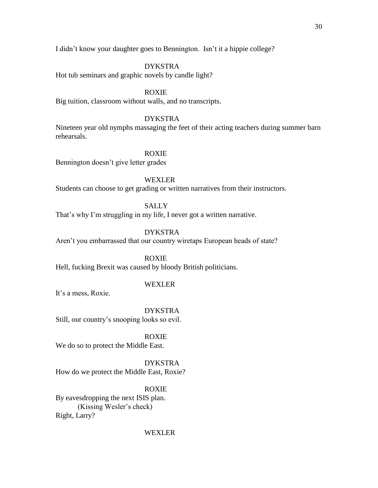I didn't know your daughter goes to Bennington. Isn't it a hippie college?

# DYKSTRA

Hot tub seminars and graphic novels by candle light?

# ROXIE

Big tuition, classroom without walls, and no transcripts.

# DYKSTRA

Nineteen year old nymphs massaging the feet of their acting teachers during summer barn rehearsals.

# ROXIE

Bennington doesn't give letter grades

# WEXLER

Students can choose to get grading or written narratives from their instructors.

# SALLY

That's why I'm struggling in my life, I never got a written narrative.

# DYKSTRA

Aren't you embarrassed that our country wiretaps European heads of state?

# ROXIE

Hell, fucking Brexit was caused by bloody British politicians.

# WEXLER

It's a mess, Roxie.

DYKSTRA Still, our country's snooping looks so evil.

ROXIE We do so to protect the Middle East.

DYKSTRA How do we protect the Middle East, Roxie?

ROXIE By eavesdropping the next ISIS plan. (Kissing Wesler's check) Right, Larry?

#### WEXLER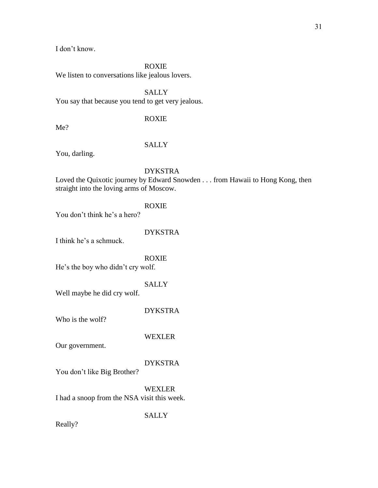31

I don't know.

ROXIE

We listen to conversations like jealous lovers.

**SALLY** You say that because you tend to get very jealous.

# ROXIE

Me?

# **SALLY**

You, darling.

DYKSTRA

Loved the Quixotic journey by Edward Snowden . . . from Hawaii to Hong Kong, then straight into the loving arms of Moscow.

ROXIE

You don't think he's a hero?

DYKSTRA

I think he's a schmuck.

ROXIE He's the boy who didn't cry wolf.

# **SALLY**

Well maybe he did cry wolf.

DYKSTRA

Who is the wolf?

WEXLER

Our government.

# DYKSTRA

You don't like Big Brother?

WEXLER I had a snoop from the NSA visit this week.

**SALLY** 

Really?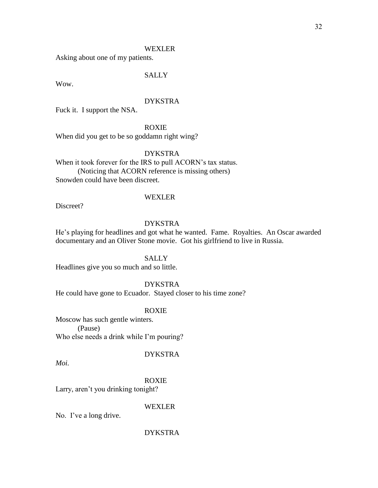Asking about one of my patients.

# SALLY

Wow.

# DYKSTRA

Fuck it. I support the NSA.

ROXIE

When did you get to be so goddamn right wing?

# DYKSTRA

When it took forever for the IRS to pull ACORN's tax status. (Noticing that ACORN reference is missing others) Snowden could have been discreet.

#### WEXLER

Discreet?

# DYKSTRA

He's playing for headlines and got what he wanted. Fame. Royalties. An Oscar awarded documentary and an Oliver Stone movie. Got his girlfriend to live in Russia.

### **SALLY**

Headlines give you so much and so little.

#### DYKSTRA

He could have gone to Ecuador. Stayed closer to his time zone?

#### ROXIE

Moscow has such gentle winters. (Pause) Who else needs a drink while I'm pouring?

# DYKSTRA

*Moi.* 

ROXIE

Larry, aren't you drinking tonight?

# WEXLER

No. I've a long drive.

### DYKSTRA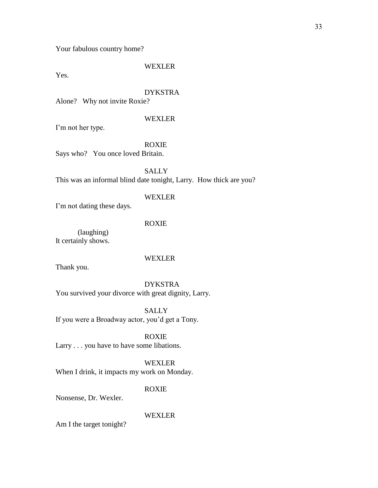Your fabulous country home?

#### WEXLER

Yes.

# DYKSTRA

Alone? Why not invite Roxie?

# WEXLER

I'm not her type.

# ROXIE

Says who? You once loved Britain.

**SALLY** This was an informal blind date tonight, Larry. How thick are you?

# WEXLER

I'm not dating these days.

# ROXIE

(laughing) It certainly shows.

### WEXLER

Thank you.

# DYKSTRA You survived your divorce with great dignity, Larry.

**SALLY** If you were a Broadway actor, you'd get a Tony.

# ROXIE Larry . . . you have to have some libations.

# WEXLER When I drink, it impacts my work on Monday.

# ROXIE

Nonsense, Dr. Wexler.

# WEXLER

Am I the target tonight?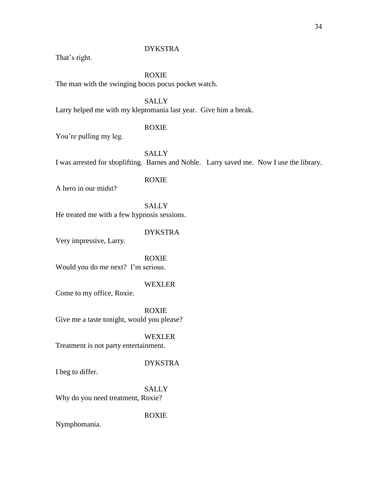# DYKSTRA

That's right.

ROXIE The man with the swinging hocus pocus pocket watch.

**SALLY** Larry helped me with my kleptomania last year. Give him a break.

# ROXIE

You're pulling my leg.

**SALLY** I was arrested for shoplifting. Barnes and Noble. Larry saved me. Now I use the library.

# ROXIE

A hero in our midst?

**SALLY** He treated me with a few hypnosis sessions.

# DYKSTRA

Very impressive, Larry.

ROXIE Would you do me next? I'm serious.

# WEXLER

Come to my office, Roxie.

ROXIE Give me a taste tonight, would you please?

WEXLER Treatment is not party entertainment.

# DYKSTRA

I beg to differ.

SALLY Why do you need treatment, Roxie?

ROXIE

Nymphomania.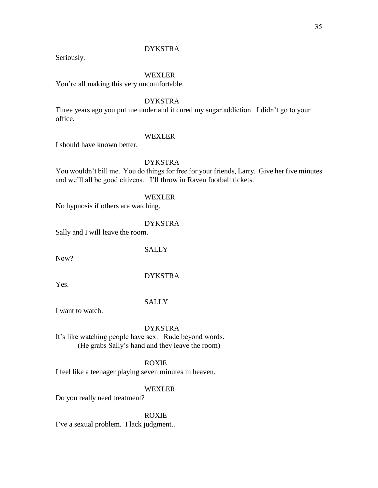# DYKSTRA

Seriously.

# WEXLER

You're all making this very uncomfortable.

# DYKSTRA

Three years ago you put me under and it cured my sugar addiction. I didn't go to your office.

# WEXLER

I should have known better.

# DYKSTRA

You wouldn't bill me. You do things for free for your friends, Larry. Give her five minutes and we'll all be good citizens. I'll throw in Raven football tickets.

WEXLER

No hypnosis if others are watching.

# DYKSTRA

Sally and I will leave the room.

**SALLY** 

Now?

# DYKSTRA

Yes.

# **SALLY**

I want to watch.

# DYKSTRA

It's like watching people have sex. Rude beyond words. (He grabs Sally's hand and they leave the room)

# ROXIE

I feel like a teenager playing seven minutes in heaven.

#### WEXLER

Do you really need treatment?

ROXIE

I've a sexual problem. I lack judgment..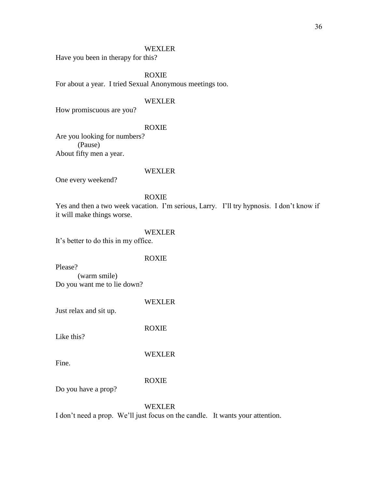Have you been in therapy for this?

ROXIE

For about a year. I tried Sexual Anonymous meetings too.

#### WEXLER

How promiscuous are you?

#### ROXIE

Are you looking for numbers? (Pause) About fifty men a year.

# WEXLER

One every weekend?

# ROXIE

Yes and then a two week vacation. I'm serious, Larry. I'll try hypnosis. I don't know if it will make things worse.

# WEXLER

It's better to do this in my office.

### ROXIE

Please?

(warm smile) Do you want me to lie down?

# WEXLER

Just relax and sit up.

ROXIE

Like this?

WEXLER

Fine.

# ROXIE

Do you have a prop?

# WEXLER

I don't need a prop. We'll just focus on the candle. It wants your attention.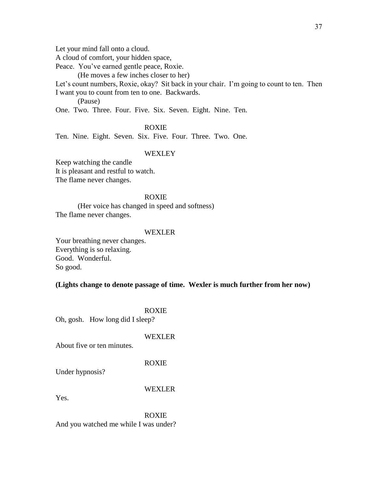Let your mind fall onto a cloud.

A cloud of comfort, your hidden space,

Peace. You've earned gentle peace, Roxie.

(He moves a few inches closer to her)

Let's count numbers, Roxie, okay? Sit back in your chair. I'm going to count to ten. Then I want you to count from ten to one. Backwards.

(Pause)

One. Two. Three. Four. Five. Six. Seven. Eight. Nine. Ten.

## ROXIE

Ten. Nine. Eight. Seven. Six. Five. Four. Three. Two. One.

## **WEXLEY**

Keep watching the candle It is pleasant and restful to watch. The flame never changes.

## ROXIE

(Her voice has changed in speed and softness) The flame never changes.

#### WEXLER

Your breathing never changes. Everything is so relaxing. Good. Wonderful. So good.

## **(Lights change to denote passage of time. Wexler is much further from her now)**

|  | <b>ROXIE</b> |
|--|--------------|
|  |              |

Oh, gosh. How long did I sleep?

#### WEXLER

About five or ten minutes.

#### ROXIE

Under hypnosis?

#### WEXLER

Yes.

ROXIE And you watched me while I was under?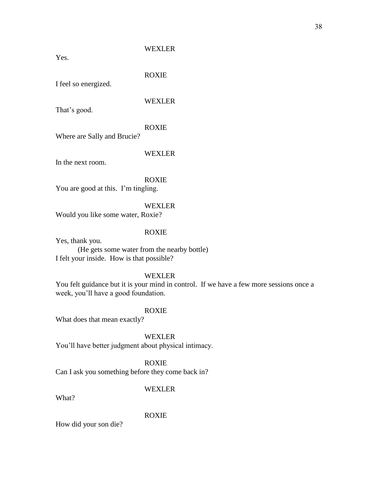Yes.

ROXIE

I feel so energized.

## WEXLER

That's good.

## ROXIE

Where are Sally and Brucie?

## WEXLER

In the next room.

## ROXIE

You are good at this. I'm tingling.

## WEXLER

Would you like some water, Roxie?

## ROXIE

Yes, thank you.

(He gets some water from the nearby bottle) I felt your inside. How is that possible?

## WEXLER

You felt guidance but it is your mind in control. If we have a few more sessions once a week, you'll have a good foundation.

## ROXIE

What does that mean exactly?

WEXLER

You'll have better judgment about physical intimacy.

## ROXIE

Can I ask you something before they come back in?

## WEXLER

What?

## ROXIE

How did your son die?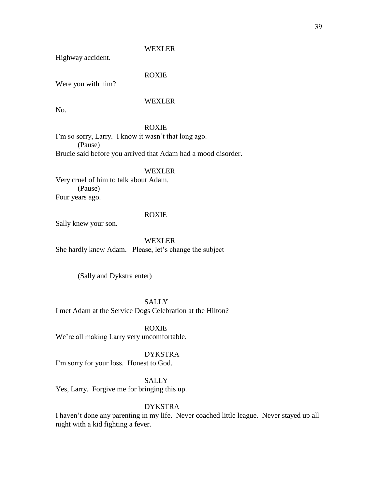Highway accident.

## ROXIE

Were you with him?

## WEXLER

No.

## ROXIE

I'm so sorry, Larry. I know it wasn't that long ago. (Pause) Brucie said before you arrived that Adam had a mood disorder.

#### WEXLER

Very cruel of him to talk about Adam. (Pause) Four years ago.

## ROXIE

Sally knew your son.

## WEXLER

She hardly knew Adam. Please, let's change the subject

(Sally and Dykstra enter)

**SALLY** I met Adam at the Service Dogs Celebration at the Hilton?

ROXIE We're all making Larry very uncomfortable.

## DYKSTRA

I'm sorry for your loss. Honest to God.

**SALLY** 

Yes, Larry. Forgive me for bringing this up.

## DYKSTRA

I haven't done any parenting in my life. Never coached little league. Never stayed up all night with a kid fighting a fever.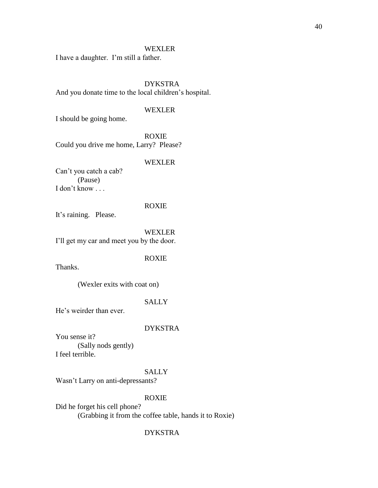I have a daughter. I'm still a father.

DYKSTRA And you donate time to the local children's hospital.

## WEXLER

I should be going home.

ROXIE Could you drive me home, Larry? Please?

## WEXLER

Can't you catch a cab? (Pause) I don't know . . .

#### ROXIE

It's raining. Please.

WEXLER

I'll get my car and meet you by the door.

## ROXIE

Thanks.

(Wexler exits with coat on)

## **SALLY**

He's weirder than ever.

## DYKSTRA

You sense it? (Sally nods gently) I feel terrible.

## SALLY

Wasn't Larry on anti-depressants?

## ROXIE

Did he forget his cell phone? (Grabbing it from the coffee table, hands it to Roxie)

## DYKSTRA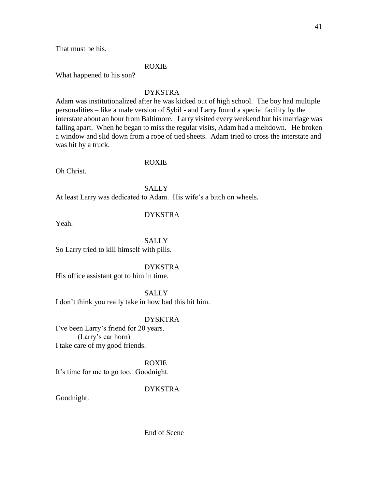That must be his.

## ROXIE

What happened to his son?

## DYKSTRA

Adam was institutionalized after he was kicked out of high school. The boy had multiple personalities – like a male version of Sybil - and Larry found a special facility by the interstate about an hour from Baltimore. Larry visited every weekend but his marriage was falling apart. When he began to miss the regular visits, Adam had a meltdown. He broken a window and slid down from a rope of tied sheets. Adam tried to cross the interstate and was hit by a truck.

#### ROXIE

Oh Christ.

**SALLY** At least Larry was dedicated to Adam. His wife's a bitch on wheels.

## DYKSTRA

Yeah.

## **SALLY**

So Larry tried to kill himself with pills.

#### DYKSTRA

His office assistant got to him in time.

#### SALLY

I don't think you really take in how bad this hit him.

## DYSKTRA

I've been Larry's friend for 20 years. (Larry's car horn) I take care of my good friends.

#### ROXIE

It's time for me to go too. Goodnight.

#### DYKSTRA

Goodnight.

End of Scene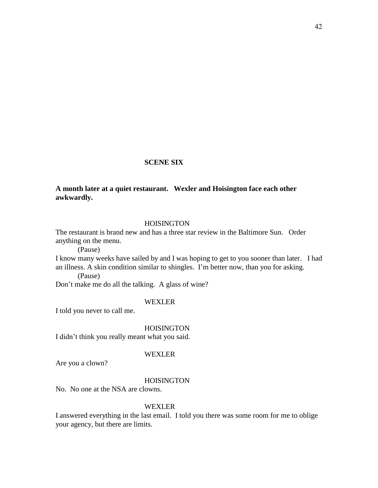## **SCENE SIX**

## **A month later at a quiet restaurant. Wexler and Hoisington face each other awkwardly.**

## **HOISINGTON**

The restaurant is brand new and has a three star review in the Baltimore Sun. Order anything on the menu.

(Pause)

I know many weeks have sailed by and I was hoping to get to you sooner than later. I had an illness. A skin condition similar to shingles. I'm better now, than you for asking.

(Pause)

Don't make me do all the talking. A glass of wine?

## WEXLER

I told you never to call me.

**HOISINGTON** 

I didn't think you really meant what you said.

## WEXLER

Are you a clown?

## **HOISINGTON**

No. No one at the NSA are clowns.

#### WEXLER

I answered everything in the last email. I told you there was some room for me to oblige your agency, but there are limits.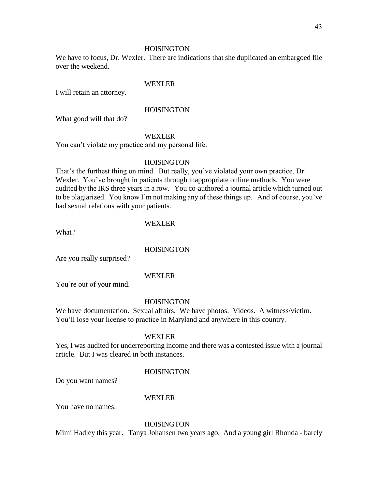## **HOISINGTON**

We have to focus, Dr. Wexler. There are indications that she duplicated an embargoed file over the weekend.

## WEXLER

I will retain an attorney.

## **HOISINGTON**

What good will that do?

## WEXLER

You can't violate my practice and my personal life.

## **HOISINGTON**

That's the furthest thing on mind. But really, you've violated your own practice, Dr. Wexler. You've brought in patients through inappropriate online methods. You were audited by the IRS three years in a row. You co-authored a journal article which turned out to be plagiarized. You know I'm not making any of these things up. And of course, you've had sexual relations with your patients.

## WEXLER

What?

## **HOISINGTON**

Are you really surprised?

## WEXLER

You're out of your mind.

## **HOISINGTON**

We have documentation. Sexual affairs. We have photos. Videos. A witness/victim. You'll lose your license to practice in Maryland and anywhere in this country.

## WEXLER

Yes, I was audited for underreporting income and there was a contested issue with a journal article. But I was cleared in both instances.

## **HOISINGTON**

Do you want names?

## WEXLER

You have no names.

## **HOISINGTON**

Mimi Hadley this year. Tanya Johansen two years ago. And a young girl Rhonda - barely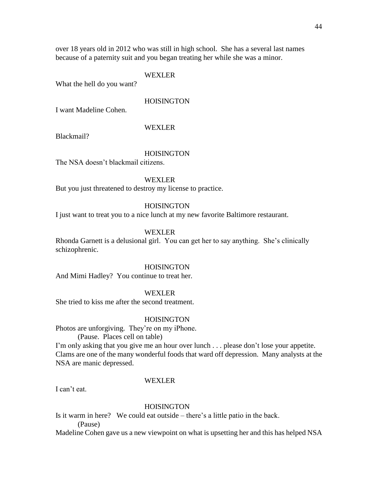over 18 years old in 2012 who was still in high school. She has a several last names because of a paternity suit and you began treating her while she was a minor.

#### WEXLER

What the hell do you want?

## **HOISINGTON**

I want Madeline Cohen.

#### WEXLER

Blackmail?

## **HOISINGTON**

The NSA doesn't blackmail citizens.

#### WEXLER

But you just threatened to destroy my license to practice.

## HOISINGTON

I just want to treat you to a nice lunch at my new favorite Baltimore restaurant.

## WEXLER

Rhonda Garnett is a delusional girl. You can get her to say anything. She's clinically schizophrenic.

#### **HOISINGTON**

And Mimi Hadley? You continue to treat her.

### WEXLER

She tried to kiss me after the second treatment.

#### **HOISINGTON**

Photos are unforgiving. They're on my iPhone.

(Pause. Places cell on table)

I'm only asking that you give me an hour over lunch . . . please don't lose your appetite. Clams are one of the many wonderful foods that ward off depression. Many analysts at the NSA are manic depressed.

#### WEXLER

I can't eat.

## **HOISINGTON**

Is it warm in here? We could eat outside – there's a little patio in the back. (Pause)

Madeline Cohen gave us a new viewpoint on what is upsetting her and this has helped NSA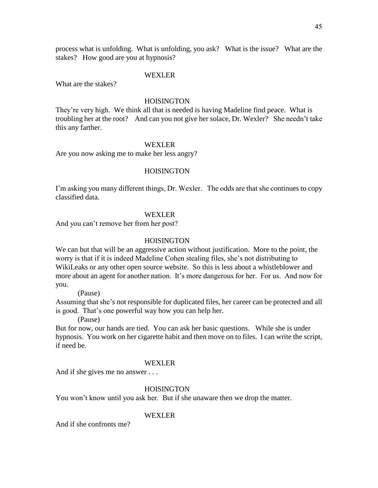process what is unfolding. What is unfolding, you ask? What is the issue? What are the stakes? How good are you at hypnosis?

#### WEXLER

What are the stakes?

## **HOISINGTON**

They're very high. We think all that is needed is having Madeline find peace. What is troubling her at the root? And can you not give her solace, Dr. Wexler? She needn't take this any farther.

#### WEXLER

Are you now asking me to make her less angry?

## **HOISINGTON**

I'm asking you many different things, Dr. Wexler. The odds are that she continues to copy classified data.

## WEXLER

And you can't remove her from her post?

## **HOISINGTON**

We can but that will be an aggressive action without justification. More to the point, the worry is that if it is indeed Madeline Cohen stealing files, she's not distributing to WikiLeaks or any other open source website. So this is less about a whistleblower and more about an agent for another nation. It's more dangerous for her. For us. And now for you.

(Pause)

Assuming that she's not responsible for duplicated files, her career can be protected and all is good. That's one powerful way how you can help her.

(Pause)

But for now, our hands are tied. You can ask her basic questions. While she is under hypnosis. You work on her cigarette habit and then move on to files. I can write the script, if need be.

#### WEXLER

And if she gives me no answer . . .

#### HOISINGTON

You won't know until you ask her. But if she unaware then we drop the matter.

#### WEXLER

And if she confronts me?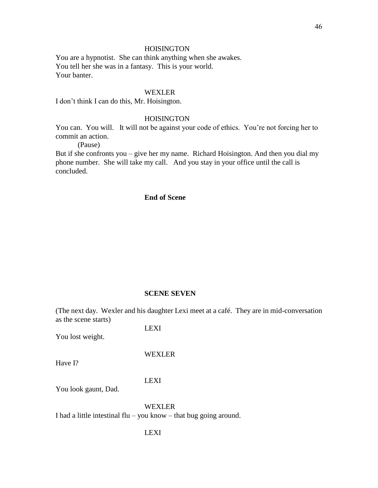You are a hypnotist. She can think anything when she awakes. You tell her she was in a fantasy. This is your world. Your banter.

## WEXLER

I don't think I can do this, Mr. Hoisington.

## **HOISINGTON**

You can. You will. It will not be against your code of ethics. You're not forcing her to commit an action.

(Pause)

But if she confronts you – give her my name. Richard Hoisington. And then you dial my phone number. She will take my call. And you stay in your office until the call is concluded.

## **End of Scene**

#### **SCENE SEVEN**

(The next day. Wexler and his daughter Lexi meet at a café. They are in mid-conversation as the scene starts)

You lost weight.

Have I?

## WEXLER

LEXI

LEXI

You look gaunt, Dad.

WEXLER I had a little intestinal  $flu - you know - that bug going around.$ 

LEXI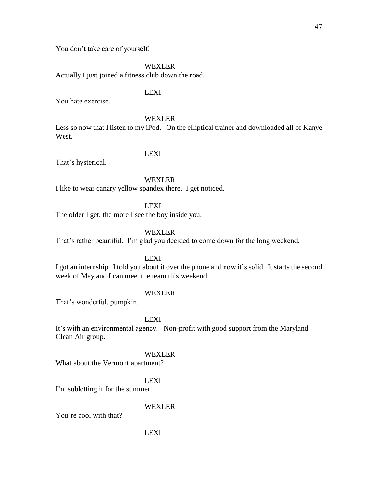You don't take care of yourself.

WEXLER

Actually I just joined a fitness club down the road.

## LEXI

You hate exercise.

## WEXLER

Less so now that I listen to my iPod. On the elliptical trainer and downloaded all of Kanye West.

## LEXI

That's hysterical.

## WEXLER

I like to wear canary yellow spandex there. I get noticed.

LEXI

The older I get, the more I see the boy inside you.

WEXLER

That's rather beautiful. I'm glad you decided to come down for the long weekend.

## LEXI

I got an internship. I told you about it over the phone and now it's solid. It starts the second week of May and I can meet the team this weekend.

## WEXLER

That's wonderful, pumpkin.

## LEXI

It's with an environmental agency. Non-profit with good support from the Maryland Clean Air group.

## WEXLER

What about the Vermont apartment?

## LEXI

I'm subletting it for the summer.

## WEXLER

You're cool with that?

#### LEXI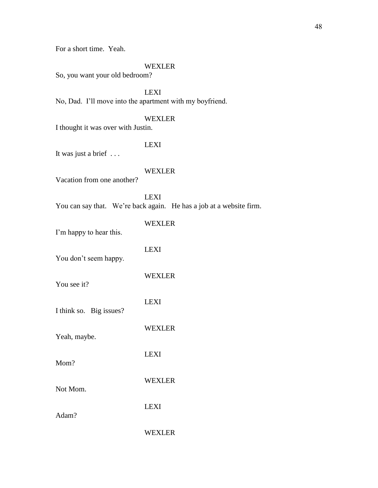For a short time. Yeah.

## WEXLER

So, you want your old bedroom?

LEXI No, Dad. I'll move into the apartment with my boyfriend.

## WEXLER

I thought it was over with Justin.

## LEXI

It was just a brief . . .

## WEXLER

Vacation from one another?

LEXI You can say that. We're back again. He has a job at a website firm.

| I'm happy to hear this. | WEXLER        |
|-------------------------|---------------|
| You don't seem happy.   | LEXI          |
| You see it?             | <b>WEXLER</b> |
| I think so. Big issues? | <b>LEXI</b>   |
|                         | <b>WEXLER</b> |
| Yeah, maybe.            | LEXI          |
| Mom?                    | <b>WEXLER</b> |
| Not Mom.                | LEXI          |
| Adam?                   | WEXLER        |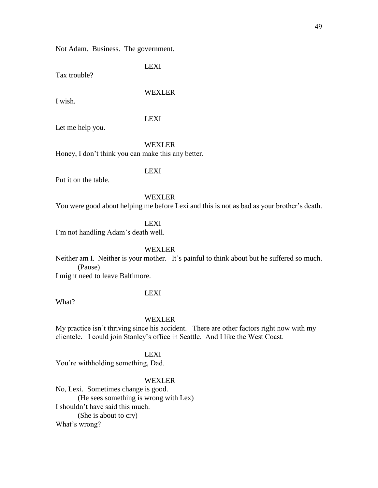Not Adam. Business. The government.

LEXI

Tax trouble?

## WEXLER

I wish.

## LEXI

Let me help you.

WEXLER Honey, I don't think you can make this any better.

LEXI

Put it on the table.

#### WEXLER

You were good about helping me before Lexi and this is not as bad as your brother's death.

LEXI

I'm not handling Adam's death well.

#### WEXLER

Neither am I. Neither is your mother. It's painful to think about but he suffered so much. (Pause)

I might need to leave Baltimore.

What?

LEXI

WEXLER

My practice isn't thriving since his accident. There are other factors right now with my clientele. I could join Stanley's office in Seattle. And I like the West Coast.

LEXI

You're withholding something, Dad.

## WEXLER

No, Lexi. Sometimes change is good. (He sees something is wrong with Lex) I shouldn't have said this much. (She is about to cry) What's wrong?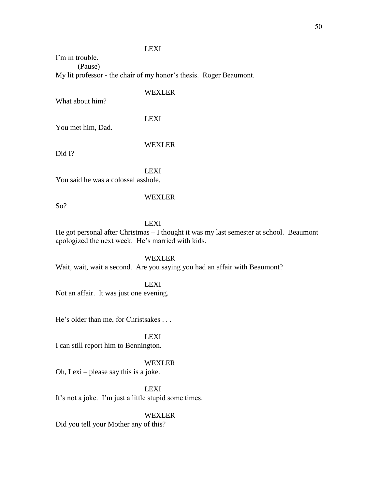## LEXI

I'm in trouble. (Pause) My lit professor - the chair of my honor's thesis. Roger Beaumont.

## WEXLER

What about him?

LEXI

You met him, Dad.

## WEXLER

Did I?

LEXI

You said he was a colossal asshole.

So?

### LEXI

WEXLER

He got personal after Christmas – I thought it was my last semester at school. Beaumont apologized the next week. He's married with kids.

## WEXLER

Wait, wait, wait a second. Are you saying you had an affair with Beaumont?

## LEXI

Not an affair. It was just one evening.

He's older than me, for Christsakes . . .

## LEXI

I can still report him to Bennington.

## WEXLER

Oh, Lexi – please say this is a joke.

#### LEXI

It's not a joke. I'm just a little stupid some times.

### WEXLER

Did you tell your Mother any of this?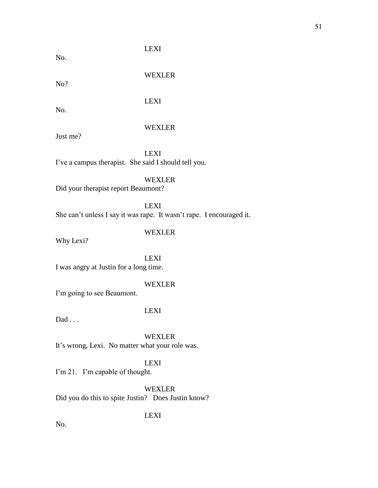No.

LEXI

No?

WEXLER

LEXI

No.

## WEXLER

Just me?

LEXI I've a campus therapist. She said I should tell you.

WEXLER

Did your therapist report Beaumont?

LEXI She can't unless I say it was rape. It wasn't rape. I encouraged it.

WEXLER

Why Lexi?

LEXI I was angry at Justin for a long time.

## WEXLER

I'm going to see Beaumont.

## LEXI

 $Dad \ldots$ 

WEXLER It's wrong, Lexi. No matter what your role was.

## LEXI

I'm 21. I'm capable of thought.

WEXLER Did you do this to spite Justin? Does Justin know?

LEXI

No.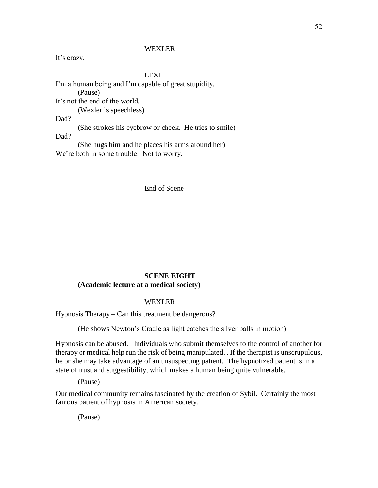It's crazy.

LEXI

I'm a human being and I'm capable of great stupidity. (Pause) It's not the end of the world. (Wexler is speechless) Dad? (She strokes his eyebrow or cheek. He tries to smile) Dad? (She hugs him and he places his arms around her) We're both in some trouble. Not to worry.

## End of Scene

## **SCENE EIGHT (Academic lecture at a medical society)**

## WEXLER

Hypnosis Therapy – Can this treatment be dangerous?

(He shows Newton's Cradle as light catches the silver balls in motion)

Hypnosis can be abused. Individuals who submit themselves to the control of another for therapy or medical help run the risk of being manipulated. . If the therapist is unscrupulous, he or she may take advantage of an unsuspecting patient. The hypnotized patient is in a state of trust and suggestibility, which makes a human being quite vulnerable.

(Pause)

Our medical community remains fascinated by the creation of Sybil. Certainly the most famous patient of hypnosis in American society.

(Pause)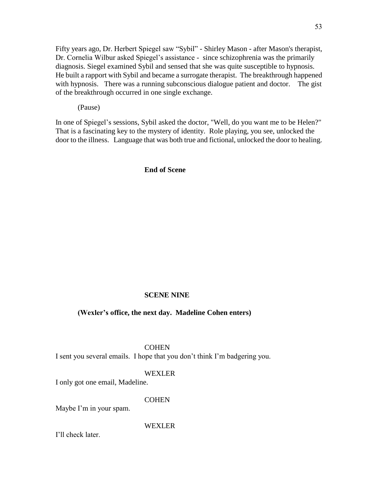Fifty years ago, Dr. Herbert Spiegel saw "Sybil" - Shirley Mason - after Mason's therapist, Dr. Cornelia Wilbur asked Spiegel's assistance - since schizophrenia was the primarily diagnosis. Siegel examined Sybil and sensed that she was quite susceptible to hypnosis. He built a rapport with Sybil and became a surrogate therapist. The breakthrough happened with hypnosis. There was a running subconscious dialogue patient and doctor. The gist of the breakthrough occurred in one single exchange.

(Pause)

In one of Spiegel's sessions, Sybil asked the doctor, "Well, do you want me to be Helen?" That is a fascinating key to the mystery of identity. Role playing, you see, unlocked the door to the illness. Language that was both true and fictional, unlocked the door to healing.

## **End of Scene**

#### **SCENE NINE**

## **(Wexler's office, the next day. Madeline Cohen enters)**

#### **COHEN**

I sent you several emails. I hope that you don't think I'm badgering you.

## WEXLER

I only got one email, Madeline.

## **COHEN**

Maybe I'm in your spam.

## WEXLER

I'll check later.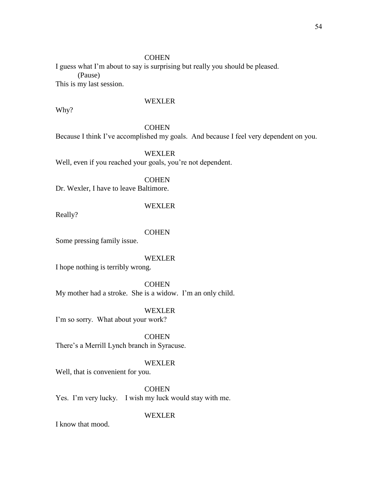## **COHEN**

I guess what I'm about to say is surprising but really you should be pleased. (Pause) This is my last session.

## WEXLER

Why?

## **COHEN**

Because I think I've accomplished my goals. And because I feel very dependent on you.

## WEXLER

Well, even if you reached your goals, you're not dependent.

**COHEN** 

Dr. Wexler, I have to leave Baltimore.

#### WEXLER

Really?

#### **COHEN**

Some pressing family issue.

## WEXLER

I hope nothing is terribly wrong.

## **COHEN**

My mother had a stroke. She is a widow. I'm an only child.

WEXLER

I'm so sorry. What about your work?

**COHEN** There's a Merrill Lynch branch in Syracuse.

## WEXLER

Well, that is convenient for you.

## **COHEN**

Yes. I'm very lucky. I wish my luck would stay with me.

## WEXLER

I know that mood.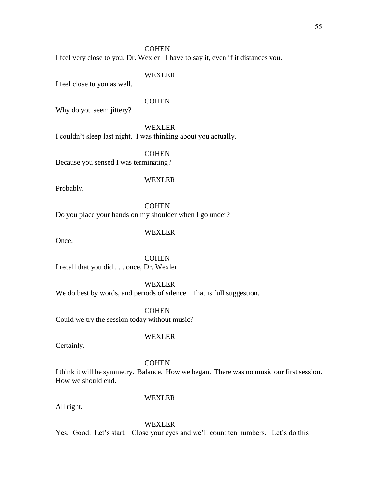#### **COHEN**

I feel very close to you, Dr. Wexler I have to say it, even if it distances you.

## WEXLER

I feel close to you as well.

## **COHEN**

Why do you seem jittery?

## WEXLER

I couldn't sleep last night. I was thinking about you actually.

## **COHEN**

Because you sensed I was terminating?

## WEXLER

Probably.

**COHEN** Do you place your hands on my shoulder when I go under?

## WEXLER

Once.

**COHEN** I recall that you did . . . once, Dr. Wexler.

WEXLER We do best by words, and periods of silence. That is full suggestion.

**COHEN** Could we try the session today without music?

## WEXLER

Certainly.

#### **COHEN**

I think it will be symmetry. Balance. How we began. There was no music our first session. How we should end.

#### All right.

## WEXLER

## WEXLER

Yes. Good. Let's start. Close your eyes and we'll count ten numbers. Let's do this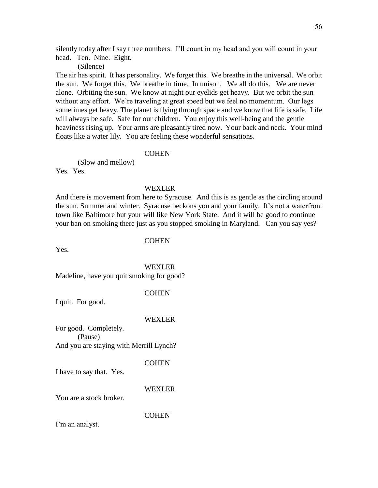silently today after I say three numbers. I'll count in my head and you will count in your head. Ten. Nine. Eight.

(Silence)

The air has spirit. It has personality. We forget this. We breathe in the universal. We orbit the sun. We forget this. We breathe in time. In unison. We all do this. We are never alone. Orbiting the sun. We know at night our eyelids get heavy. But we orbit the sun without any effort. We're traveling at great speed but we feel no momentum. Our legs sometimes get heavy. The planet is flying through space and we know that life is safe. Life will always be safe. Safe for our children. You enjoy this well-being and the gentle heaviness rising up. Your arms are pleasantly tired now. Your back and neck. Your mind floats like a water lily. You are feeling these wonderful sensations.

#### **COHEN**

(Slow and mellow) Yes. Yes.

#### WEXLER

And there is movement from here to Syracuse. And this is as gentle as the circling around the sun. Summer and winter. Syracuse beckons you and your family. It's not a waterfront town like Baltimore but your will like New York State. And it will be good to continue your ban on smoking there just as you stopped smoking in Maryland. Can you say yes?

**COHEN** 

Yes.

WEXLER Madeline, have you quit smoking for good?

## **COHEN**

I quit. For good.

## WEXLER

For good. Completely. (Pause) And you are staying with Merrill Lynch?

## **COHEN**

I have to say that. Yes.

#### WEXLER

You are a stock broker.

**COHEN** 

I'm an analyst.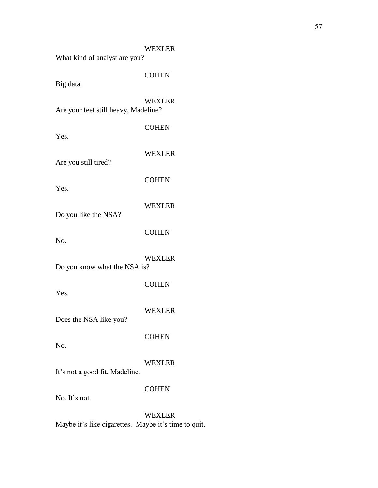| What kind of analyst are you?        | <b>WEXLER</b> |
|--------------------------------------|---------------|
| Big data.                            | <b>COHEN</b>  |
| Are your feet still heavy, Madeline? | <b>WEXLER</b> |
| Yes.                                 | <b>COHEN</b>  |
| Are you still tired?                 | <b>WEXLER</b> |
| Yes.                                 | <b>COHEN</b>  |
| Do you like the NSA?                 | <b>WEXLER</b> |
| No.                                  | <b>COHEN</b>  |
| Do you know what the NSA is?         | <b>WEXLER</b> |
| Yes.                                 | <b>COHEN</b>  |
| Does the NSA like you?               | <b>WEXLER</b> |
| No.                                  | <b>COHEN</b>  |
| It's not a good fit, Madeline.       | <b>WEXLER</b> |
| No. It's not.                        | <b>COHEN</b>  |
|                                      | <b>WEXLER</b> |

Maybe it's like cigarettes. Maybe it's time to quit.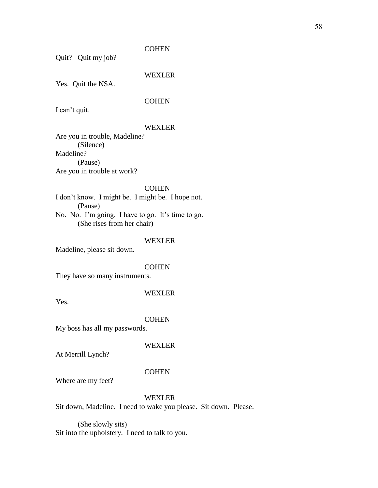## **COHEN**

Quit? Quit my job?

## WEXLER

Yes. Quit the NSA.

## **COHEN**

I can't quit.

## WEXLER

Are you in trouble, Madeline? (Silence) Madeline? (Pause) Are you in trouble at work?

## **COHEN**

I don't know. I might be. I might be. I hope not. (Pause) No. No. I'm going. I have to go. It's time to go. (She rises from her chair)

## WEXLER

Madeline, please sit down.

#### **COHEN**

They have so many instruments.

### WEXLER

Yes.

#### **COHEN**

My boss has all my passwords.

## WEXLER

At Merrill Lynch?

#### **COHEN**

Where are my feet?

## WEXLER

Sit down, Madeline. I need to wake you please. Sit down. Please.

(She slowly sits) Sit into the upholstery. I need to talk to you.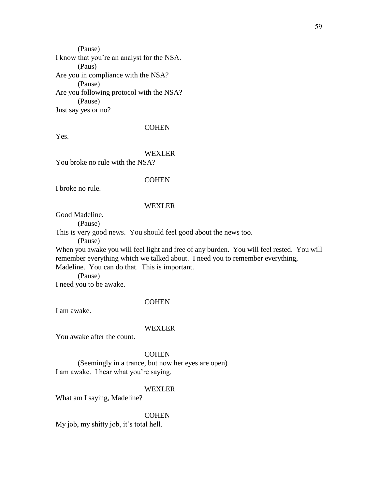(Pause) I know that you're an analyst for the NSA. (Paus) Are you in compliance with the NSA? (Pause) Are you following protocol with the NSA? (Pause) Just say yes or no?

**COHEN** 

Yes.

## WEXLER

You broke no rule with the NSA?

#### **COHEN**

I broke no rule.

#### WEXLER

Good Madeline.

(Pause)

This is very good news. You should feel good about the news too.

(Pause)

When you awake you will feel light and free of any burden. You will feel rested. You will remember everything which we talked about. I need you to remember everything, Madeline. You can do that. This is important.

(Pause) I need you to be awake.

## **COHEN**

I am awake.

#### WEXLER

You awake after the count.

## **COHEN**

(Seemingly in a trance, but now her eyes are open) I am awake. I hear what you're saying.

#### WEXLER

What am I saying, Madeline?

#### **COHEN**

My job, my shitty job, it's total hell.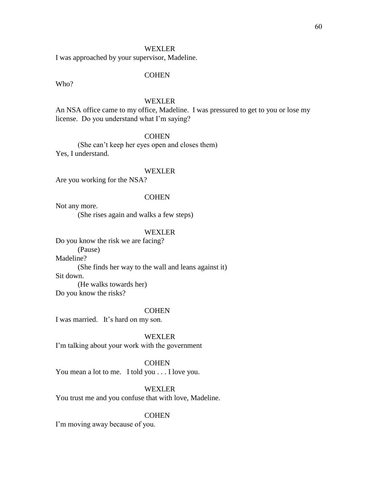I was approached by your supervisor, Madeline.

#### **COHEN**

Who?

## WEXLER

An NSA office came to my office, Madeline. I was pressured to get to you or lose my license. Do you understand what I'm saying?

## **COHEN**

(She can't keep her eyes open and closes them) Yes, I understand.

#### WEXLER

Are you working for the NSA?

## **COHEN**

Not any more. (She rises again and walks a few steps)

#### WEXLER

Do you know the risk we are facing? (Pause) Madeline? (She finds her way to the wall and leans against it) Sit down. (He walks towards her) Do you know the risks?

#### **COHEN**

I was married. It's hard on my son.

WEXLER I'm talking about your work with the government

#### **COHEN**

You mean a lot to me. I told you . . . I love you.

## WEXLER

You trust me and you confuse that with love, Madeline.

#### **COHEN**

I'm moving away because of you.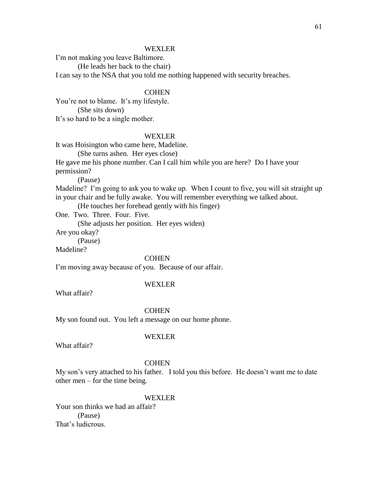I'm not making you leave Baltimore.

(He leads her back to the chair)

I can say to the NSA that you told me nothing happened with security breaches.

## **COHEN**

You're not to blame. It's my lifestyle. (She sits down) It's so hard to be a single mother.

## WEXLER

It was Hoisington who came here, Madeline.

(She turns ashen. Her eyes close)

He gave me his phone number. Can I call him while you are here? Do I have your permission?

(Pause)

Madeline? I'm going to ask you to wake up. When I count to five, you will sit straight up in your chair and be fully awake. You will remember everything we talked about.

(He touches her forehead gently with his finger)

One. Two. Three. Four. Five.

(She adjusts her position. Her eyes widen)

Are you okay?

(Pause)

Madeline?

## **COHEN**

I'm moving away because of you. Because of our affair.

#### WEXLER

What affair?

#### **COHEN**

My son found out. You left a message on our home phone.

What affair?

WEXLER

#### **COHEN**

My son's very attached to his father. I told you this before. He doesn't want me to date other men – for the time being.

#### WEXLER

Your son thinks we had an affair? (Pause) That's ludicrous.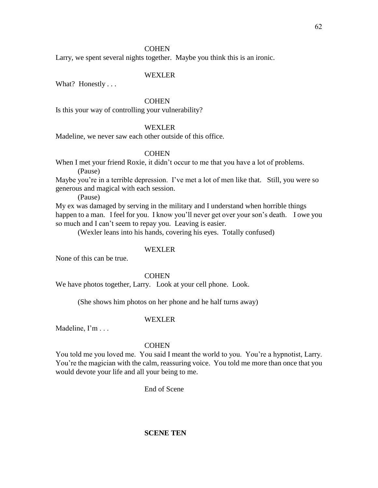## **COHEN**

Larry, we spent several nights together. Maybe you think this is an ironic.

## WEXLER

What? Honestly . . .

## **COHEN**

Is this your way of controlling your vulnerability?

## WEXLER

Madeline, we never saw each other outside of this office.

## **COHEN**

When I met your friend Roxie, it didn't occur to me that you have a lot of problems. (Pause)

Maybe you're in a terrible depression. I've met a lot of men like that. Still, you were so generous and magical with each session.

(Pause)

My ex was damaged by serving in the military and I understand when horrible things happen to a man. I feel for you. I know you'll never get over your son's death. I owe you so much and I can't seem to repay you. Leaving is easier.

(Wexler leans into his hands, covering his eyes. Totally confused)

## WEXLER

None of this can be true.

**COHEN** 

We have photos together, Larry. Look at your cell phone. Look.

(She shows him photos on her phone and he half turns away)

#### WEXLER

Madeline, I'm . . .

## **COHEN**

You told me you loved me. You said I meant the world to you. You're a hypnotist, Larry. You're the magician with the calm, reassuring voice. You told me more than once that you would devote your life and all your being to me.

End of Scene

## **SCENE TEN**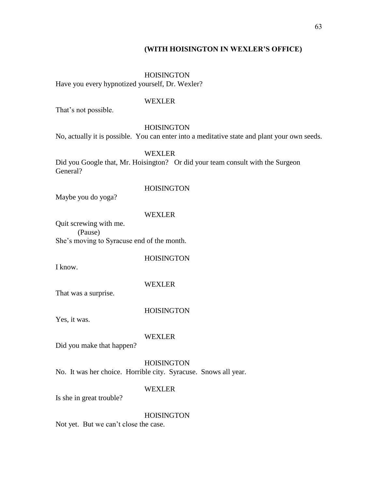## **(WITH HOISINGTON IN WEXLER'S OFFICE)**

## **HOISINGTON**

Have you every hypnotized yourself, Dr. Wexler?

#### WEXLER

That's not possible.

#### HOISINGTON

No, actually it is possible. You can enter into a meditative state and plant your own seeds.

## WEXLER

Did you Google that, Mr. Hoisington? Or did your team consult with the Surgeon General?

#### **HOISINGTON**

Maybe you do yoga?

## WEXLER

Quit screwing with me. (Pause) She's moving to Syracuse end of the month.

**HOISINGTON** 

I know.

#### WEXLER

That was a surprise.

#### HOISINGTON

Yes, it was.

#### WEXLER

Did you make that happen?

## **HOISINGTON**

No. It was her choice. Horrible city. Syracuse. Snows all year.

#### WEXLER

Is she in great trouble?

#### **HOISINGTON**

Not yet. But we can't close the case.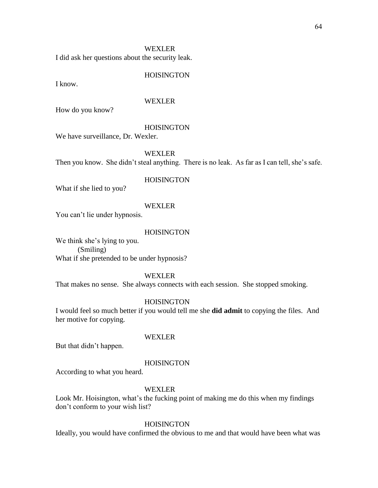I did ask her questions about the security leak.

## **HOISINGTON**

I know.

## WEXLER

How do you know?

#### **HOISINGTON**

We have surveillance, Dr. Wexler.

WEXLER

Then you know. She didn't steal anything. There is no leak. As far as I can tell, she's safe.

## HOISINGTON

What if she lied to you?

#### WEXLER

You can't lie under hypnosis.

#### **HOISINGTON**

We think she's lying to you. (Smiling) What if she pretended to be under hypnosis?

#### WEXLER

That makes no sense. She always connects with each session. She stopped smoking.

## **HOISINGTON**

I would feel so much better if you would tell me she **did admit** to copying the files. And her motive for copying.

## WEXLER

But that didn't happen.

#### **HOISINGTON**

According to what you heard.

#### WEXLER

Look Mr. Hoisington, what's the fucking point of making me do this when my findings don't conform to your wish list?

## **HOISINGTON**

Ideally, you would have confirmed the obvious to me and that would have been what was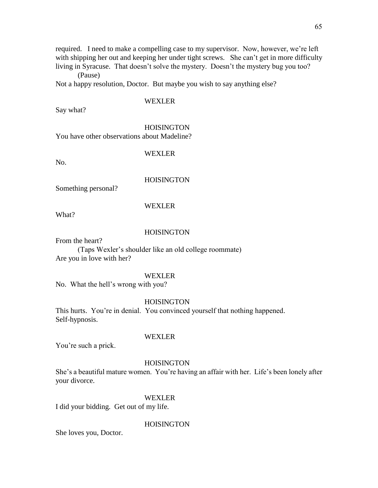required. I need to make a compelling case to my supervisor. Now, however, we're left with shipping her out and keeping her under tight screws. She can't get in more difficulty living in Syracuse. That doesn't solve the mystery. Doesn't the mystery bug you too?

(Pause)

Not a happy resolution, Doctor. But maybe you wish to say anything else?

## WEXLER

Say what?

### **HOISINGTON**

You have other observations about Madeline?

## WEXLER

No.

## **HOISINGTON**

Something personal?

## WEXLER

What?

## **HOISINGTON**

From the heart?

(Taps Wexler's shoulder like an old college roommate) Are you in love with her?

## WEXLER

No. What the hell's wrong with you?

## **HOISINGTON**

This hurts. You're in denial. You convinced yourself that nothing happened. Self-hypnosis.

## WEXLER

You're such a prick.

## **HOISINGTON**

She's a beautiful mature women. You're having an affair with her. Life's been lonely after your divorce.

## WEXLER

I did your bidding. Get out of my life.

## **HOISINGTON**

She loves you, Doctor.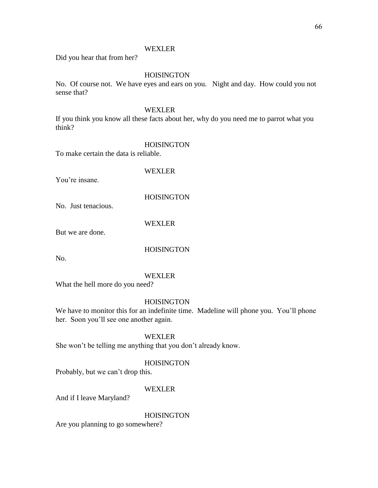Did you hear that from her?

## **HOISINGTON**

No. Of course not. We have eyes and ears on you. Night and day. How could you not sense that?

## WEXLER

If you think you know all these facts about her, why do you need me to parrot what you think?

#### HOISINGTON

To make certain the data is reliable.

WEXLER

You're insane.

## **HOISINGTON**

No. Just tenacious.

WEXLER

But we are done.

**HOISINGTON** 

No.

## WEXLER

What the hell more do you need?

## HOISINGTON

We have to monitor this for an indefinite time. Madeline will phone you. You'll phone her. Soon you'll see one another again.

## WEXLER

She won't be telling me anything that you don't already know.

## HOISINGTON

Probably, but we can't drop this.

## WEXLER

And if I leave Maryland?

## HOISINGTON

Are you planning to go somewhere?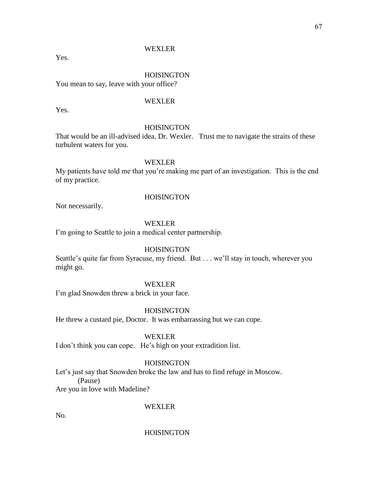Yes.

## **HOISINGTON**

You mean to say, leave with your office?

## WEXLER

Yes.

## **HOISINGTON**

That would be an ill-advised idea, Dr. Wexler. Trust me to navigate the straits of these turbulent waters for you.

## WEXLER

My patients have told me that you're making me part of an investigation. This is the end of my practice.

Not necessarily.

## WEXLER

**HOISINGTON** 

I'm going to Seattle to join a medical center partnership.

## **HOISINGTON**

Seattle's quite far from Syracuse, my friend. But . . . we'll stay in touch, wherever you might go.

## WEXLER

I'm glad Snowden threw a brick in your face.

**HOISINGTON** 

He threw a custard pie, Doctor. It was embarrassing but we can cope.

## WEXLER

I don't think you can cope. He's high on your extradition list.

## **HOISINGTON**

Let's just say that Snowden broke the law and has to find refuge in Moscow. (Pause)

Are you in love with Madeline?

## WEXLER

No.

## **HOISINGTON**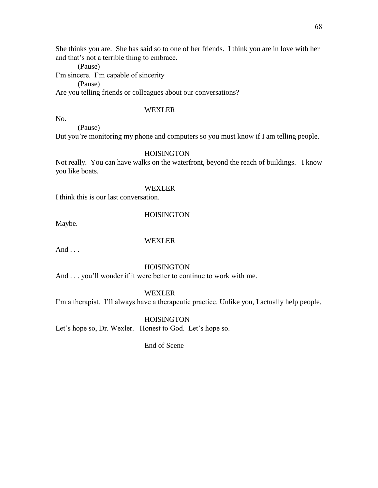She thinks you are. She has said so to one of her friends. I think you are in love with her and that's not a terrible thing to embrace.

(Pause) I'm sincere. I'm capable of sincerity (Pause) Are you telling friends or colleagues about our conversations?

## **WEXLER**

No.

(Pause)

But you're monitoring my phone and computers so you must know if I am telling people.

## HOISINGTON

Not really. You can have walks on the waterfront, beyond the reach of buildings. I know you like boats.

#### WEXLER

I think this is our last conversation.

#### **HOISINGTON**

Maybe.

## WEXLER

And  $\ldots$ 

## **HOISINGTON**

And . . . you'll wonder if it were better to continue to work with me.

### WEXLER

I'm a therapist. I'll always have a therapeutic practice. Unlike you, I actually help people.

## **HOISINGTON**

Let's hope so, Dr. Wexler. Honest to God. Let's hope so.

End of Scene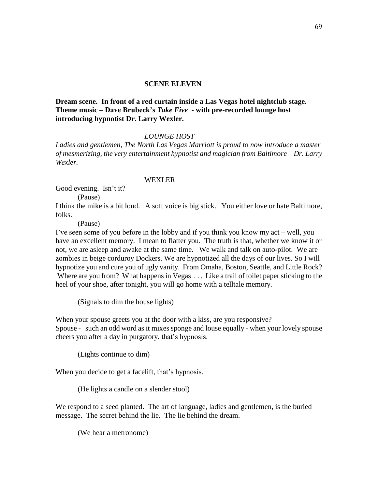**Dream scene. In front of a red curtain inside a Las Vegas hotel nightclub stage. Theme music – Dave Brubeck's** *Take Five* **- with pre-recorded lounge host introducing hypnotist Dr. Larry Wexler.**

## *LOUNGE HOST*

*Ladies and gentlemen, The North Las Vegas Marriott is proud to now introduce a master of mesmerizing, the very entertainment hypnotist and magician from Baltimore – Dr. Larry Wexler.*

### WEXLER

Good evening. Isn't it?

(Pause)

I think the mike is a bit loud. A soft voice is big stick. You either love or hate Baltimore, folks.

(Pause)

I've seen some of you before in the lobby and if you think you know my act – well, you have an excellent memory. I mean to flatter you. The truth is that, whether we know it or not, we are asleep and awake at the same time. We walk and talk on auto-pilot. We are zombies in beige corduroy Dockers. We are hypnotized all the days of our lives. So I will hypnotize you and cure you of ugly vanity. From Omaha, Boston, Seattle, and Little Rock? Where are you from? What happens in Vegas ... Like a trail of toilet paper sticking to the heel of your shoe, after tonight, you will go home with a telltale memory.

(Signals to dim the house lights)

When your spouse greets you at the door with a kiss, are you responsive?

Spouse - such an odd word as it mixes sponge and louse equally - when your lovely spouse cheers you after a day in purgatory, that's hypnosis.

(Lights continue to dim)

When you decide to get a facelift, that's hypnosis.

(He lights a candle on a slender stool)

We respond to a seed planted. The art of language, ladies and gentlemen, is the buried message. The secret behind the lie. The lie behind the dream.

(We hear a metronome)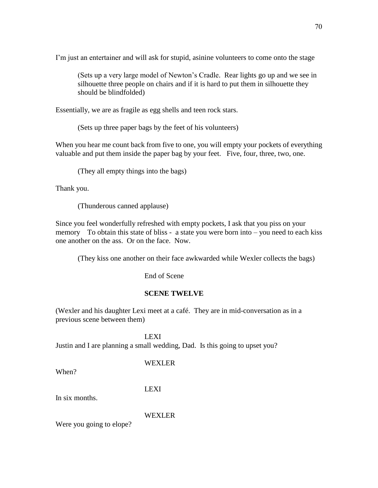I'm just an entertainer and will ask for stupid, asinine volunteers to come onto the stage

(Sets up a very large model of Newton's Cradle. Rear lights go up and we see in silhouette three people on chairs and if it is hard to put them in silhouette they should be blindfolded)

Essentially, we are as fragile as egg shells and teen rock stars.

(Sets up three paper bags by the feet of his volunteers)

When you hear me count back from five to one, you will empty your pockets of everything valuable and put them inside the paper bag by your feet. Five, four, three, two, one.

(They all empty things into the bags)

Thank you.

(Thunderous canned applause)

Since you feel wonderfully refreshed with empty pockets, I ask that you piss on your memory To obtain this state of bliss - a state you were born into – you need to each kiss one another on the ass. Or on the face. Now.

(They kiss one another on their face awkwarded while Wexler collects the bags)

End of Scene

## **SCENE TWELVE**

(Wexler and his daughter Lexi meet at a café. They are in mid-conversation as in a previous scene between them)

LEXI Justin and I are planning a small wedding, Dad. Is this going to upset you?

## WEXLER

When?

LEXI

In six months.

WEXLER

Were you going to elope?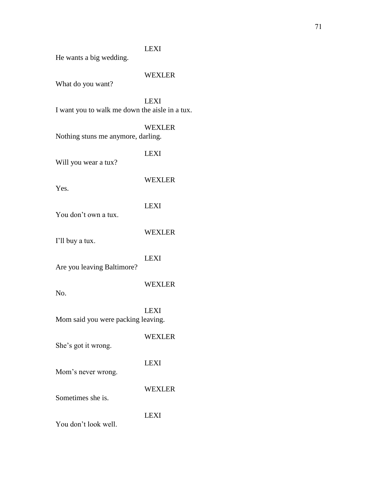## LEXI

He wants a big wedding.

## WEXLER

What do you want?

LEXI I want you to walk me down the aisle in a tux.

## WEXLER

LEXI

Nothing stuns me anymore, darling.

Will you wear a tux?

Yes.

## LEXI

You don't own a tux.

WEXLER

WEXLER

I'll buy a tux.

## LEXI

Are you leaving Baltimore?

## WEXLER

WEXLER

No.

LEXI Mom said you were packing leaving.

# She's got it wrong.

# LEXI

Mom's never wrong.

## WEXLER

LEXI

Sometimes she is.

You don't look well.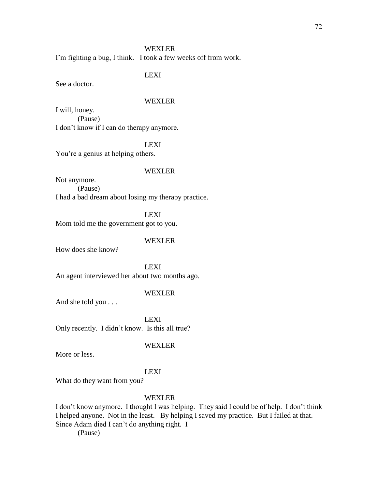I'm fighting a bug, I think. I took a few weeks off from work.

LEXI

See a doctor.

## WEXLER

I will, honey. (Pause) I don't know if I can do therapy anymore.

## LEXI

You're a genius at helping others.

#### WEXLER

Not anymore. (Pause) I had a bad dream about losing my therapy practice.

LEXI Mom told me the government got to you.

#### WEXLER

How does she know?

LEXI An agent interviewed her about two months ago.

## WEXLER

And she told you . . .

LEXI Only recently. I didn't know. Is this all true?

## WEXLER

More or less.

#### LEXI

What do they want from you?

## WEXLER

I don't know anymore. I thought I was helping. They said I could be of help. I don't think I helped anyone. Not in the least. By helping I saved my practice. But I failed at that. Since Adam died I can't do anything right. I

(Pause)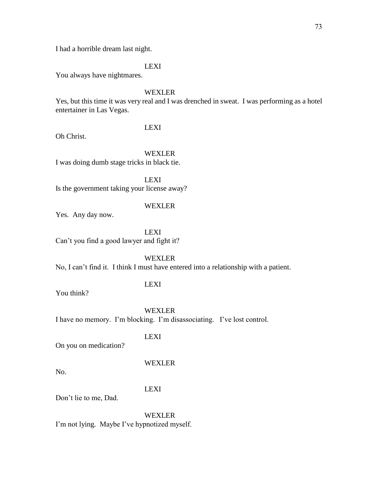I had a horrible dream last night.

LEXI

You always have nightmares.

## WEXLER

Yes, but this time it was very real and I was drenched in sweat. I was performing as a hotel entertainer in Las Vegas.

LEXI

Oh Christ.

WEXLER

I was doing dumb stage tricks in black tie.

LEXI Is the government taking your license away?

## WEXLER

Yes. Any day now.

LEXI Can't you find a good lawyer and fight it?

WEXLER

No, I can't find it. I think I must have entered into a relationship with a patient.

## LEXI

You think?

WEXLER I have no memory. I'm blocking. I'm disassociating. I've lost control.

LEXI

On you on medication?

## WEXLER

No.

## LEXI

Don't lie to me, Dad.

WEXLER I'm not lying. Maybe I've hypnotized myself.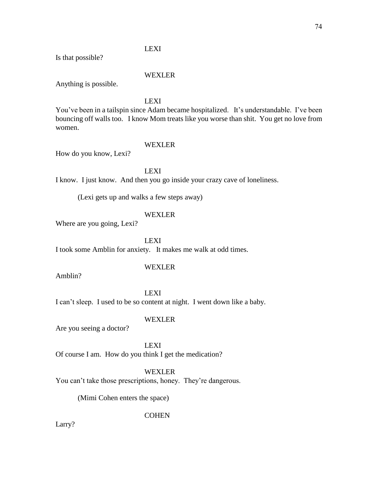## LEXI

Is that possible?

## WEXLER

Anything is possible.

LEXI

You've been in a tailspin since Adam became hospitalized. It's understandable. I've been bouncing off walls too. I know Mom treats like you worse than shit. You get no love from women.

### WEXLER

How do you know, Lexi?

LEXI

I know. I just know. And then you go inside your crazy cave of loneliness.

(Lexi gets up and walks a few steps away)

## WEXLER

Where are you going, Lexi?

LEXI

I took some Amblin for anxiety. It makes me walk at odd times.

Amblin?

## WEXLER

LEXI I can't sleep. I used to be so content at night. I went down like a baby.

## WEXLER

Are you seeing a doctor?

LEXI Of course I am. How do you think I get the medication?

WEXLER

You can't take those prescriptions, honey. They're dangerous.

(Mimi Cohen enters the space)

**COHEN** 

Larry?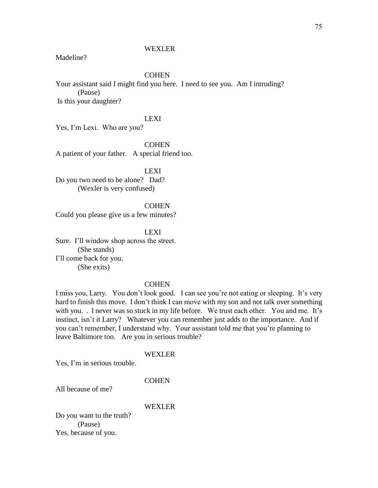### WEXLER

Madeline?

### **COHEN**

Your assistant said I might find you here. I need to see you. Am I intruding? (Pause) Is this your daughter?

## LEXI

Yes, I'm Lexi. Who are you?

**COHEN** 

A patient of your father. A special friend too.

LEXI

Do you two need to be alone? Dad? (Wexler is very confused)

**COHEN** Could you please give us a few minutes?

LEXI Sure. I'll window shop across the street. (She stands) I'll come back for you. (She exits)

#### **COHEN**

I miss you, Larry. You don't look good. I can see you're not eating or sleeping. It's very hard to finish this move. I don't think I can move with my son and not talk over something with you. . I never was so stuck in my life before. We trust each other. You and me. It's instinct, isn't it Larry? Whatever you can remember just adds to the importance. And if you can't remember, I understand why. Your assistant told me that you're planning to leave Baltimore too. Are you in serious trouble?

## WEXLER

Yes, I'm in serious trouble.

### **COHEN**

All because of me?

#### WEXLER

Do you want to the truth? (Pause) Yes, because of you.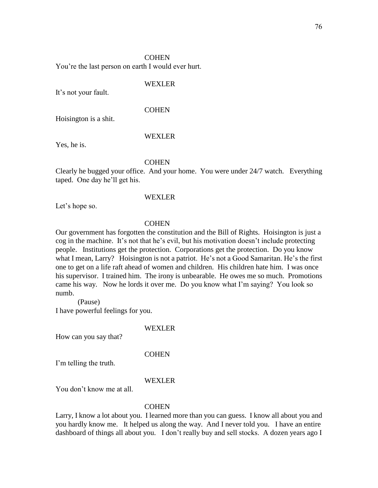### **COHEN**

You're the last person on earth I would ever hurt.

### WEXLER

It's not your fault.

## **COHEN**

Hoisington is a shit.

#### WEXLER

Yes, he is.

### **COHEN**

Clearly he bugged your office. And your home. You were under 24/7 watch. Everything taped. One day he'll get his.

### WEXLER

Let's hope so.

## **COHEN**

Our government has forgotten the constitution and the Bill of Rights. Hoisington is just a cog in the machine. It's not that he's evil, but his motivation doesn't include protecting people. Institutions get the protection. Corporations get the protection. Do you know what I mean, Larry? Hoisington is not a patriot. He's not a Good Samaritan. He's the first one to get on a life raft ahead of women and children. His children hate him. I was once his supervisor. I trained him. The irony is unbearable. He owes me so much. Promotions came his way. Now he lords it over me. Do you know what I'm saying? You look so numb.

(Pause) I have powerful feelings for you.

#### WEXLER

How can you say that?

### **COHEN**

I'm telling the truth.

### WEXLER

You don't know me at all.

### **COHEN**

Larry, I know a lot about you. I learned more than you can guess. I know all about you and you hardly know me. It helped us along the way. And I never told you. I have an entire dashboard of things all about you. I don't really buy and sell stocks. A dozen years ago I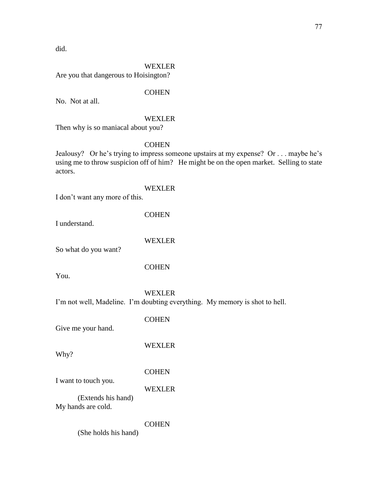did.

## WEXLER

Are you that dangerous to Hoisington?

## **COHEN**

No. Not at all.

## WEXLER

Then why is so maniacal about you?

### **COHEN**

Jealousy? Or he's trying to impress someone upstairs at my expense? Or . . . maybe he's using me to throw suspicion off of him? He might be on the open market. Selling to state actors.

## WEXLER

I don't want any more of this.

**COHEN** 

I understand.

WEXLER

So what do you want?

## **COHEN**

You.

## WEXLER

I'm not well, Madeline. I'm doubting everything. My memory is shot to hell.

**COHEN** 

Give me your hand.

Why?

WEXLER

COHEN

I want to touch you.

WEXLER

(Extends his hand) My hands are cold.

**COHEN** 

(She holds his hand)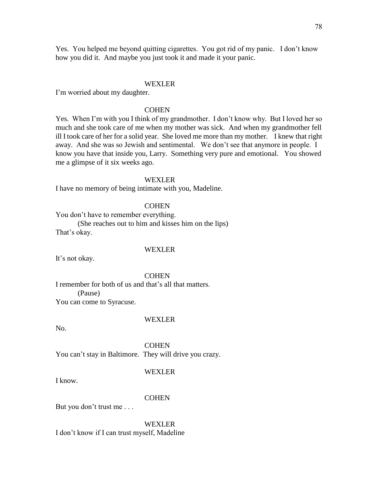Yes. You helped me beyond quitting cigarettes. You got rid of my panic. I don't know how you did it. And maybe you just took it and made it your panic.

### WEXLER

I'm worried about my daughter.

## **COHEN**

Yes. When I'm with you I think of my grandmother. I don't know why. But I loved her so much and she took care of me when my mother was sick. And when my grandmother fell ill I took care of her for a solid year. She loved me more than my mother. I knew that right away. And she was so Jewish and sentimental. We don't see that anymore in people. I know you have that inside you, Larry. Something very pure and emotional. You showed me a glimpse of it six weeks ago.

### WEXLER

I have no memory of being intimate with you, Madeline.

### **COHEN**

You don't have to remember everything.

(She reaches out to him and kisses him on the lips) That's okay.

#### WEXLER

It's not okay.

**COHEN** 

I remember for both of us and that's all that matters. (Pause) You can come to Syracuse.

### WEXLER<sub></sub>

No.

**COHEN** You can't stay in Baltimore. They will drive you crazy.

#### WEXLER

I know.

### **COHEN**

But you don't trust me . . .

WEXLER I don't know if I can trust myself, Madeline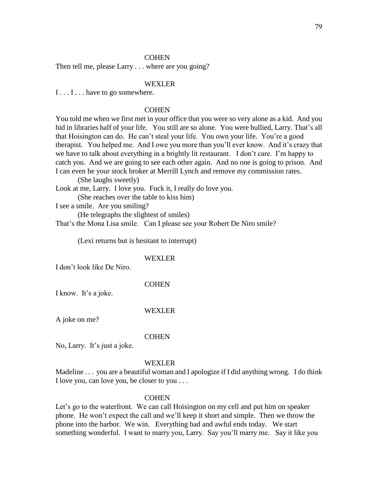### **COHEN**

Then tell me, please Larry . . . where are you going?

### WEXLER

I . . . I . . . have to go somewhere.

## **COHEN**

You told me when we first met in your office that you were so very alone as a kid. And you hid in libraries half of your life. You still are so alone. You were bullied, Larry. That's all that Hoisington can do. He can't steal your life. You own your life. You're a good therapist. You helped me. And I owe you more than you'll ever know. And it's crazy that we have to talk about everything in a brightly lit restaurant. I don't care. I'm happy to catch you. And we are going to see each other again. And no one is going to prison. And I can even be your stock broker at Merrill Lynch and remove my commission rates.

(She laughs sweetly)

Look at me, Larry. I love you. Fuck it, I really do love you.

(She reaches over the table to kiss him)

I see a smile. Are you smiling?

(He telegraphs the slightest of smiles)

That's the Mona Lisa smile. Can I please see your Robert De Niro smile?

(Lexi returns but is hesitant to interrupt)

### WEXLER

I don't look like De Niro.

### **COHEN**

I know. It's a joke.

#### WEXLER

A joke on me?

#### **COHEN**

No, Larry. It's just a joke.

#### WEXLER

Madeline . . . you are a beautiful woman and I apologize if I did anything wrong. I do think I love you, can love you, be closer to you . . .

#### **COHEN**

Let's go to the waterfront. We can call Hoisington on my cell and put him on speaker phone. He won't expect the call and we'll keep it short and simple. Then we throw the phone into the harbor. We win. Everything bad and awful ends today. We start something wonderful. I want to marry you, Larry. Say you'll marry me. Say it like you